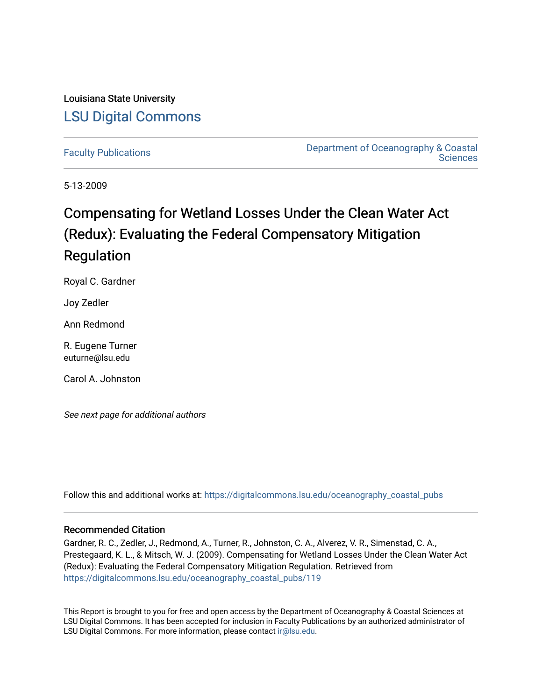# Louisiana State University [LSU Digital Commons](https://digitalcommons.lsu.edu/)

[Faculty Publications](https://digitalcommons.lsu.edu/oceanography_coastal_pubs) [Department of Oceanography & Coastal](https://digitalcommons.lsu.edu/oceanography_coastal)  **Sciences** 

5-13-2009

# Compensating for Wetland Losses Under the Clean Water Act (Redux): Evaluating the Federal Compensatory Mitigation Regulation

Royal C. Gardner

Joy Zedler

Ann Redmond

R. Eugene Turner euturne@lsu.edu

Carol A. Johnston

See next page for additional authors

Follow this and additional works at: [https://digitalcommons.lsu.edu/oceanography\\_coastal\\_pubs](https://digitalcommons.lsu.edu/oceanography_coastal_pubs?utm_source=digitalcommons.lsu.edu%2Foceanography_coastal_pubs%2F119&utm_medium=PDF&utm_campaign=PDFCoverPages) 

## Recommended Citation

Gardner, R. C., Zedler, J., Redmond, A., Turner, R., Johnston, C. A., Alverez, V. R., Simenstad, C. A., Prestegaard, K. L., & Mitsch, W. J. (2009). Compensating for Wetland Losses Under the Clean Water Act (Redux): Evaluating the Federal Compensatory Mitigation Regulation. Retrieved from [https://digitalcommons.lsu.edu/oceanography\\_coastal\\_pubs/119](https://digitalcommons.lsu.edu/oceanography_coastal_pubs/119?utm_source=digitalcommons.lsu.edu%2Foceanography_coastal_pubs%2F119&utm_medium=PDF&utm_campaign=PDFCoverPages) 

This Report is brought to you for free and open access by the Department of Oceanography & Coastal Sciences at LSU Digital Commons. It has been accepted for inclusion in Faculty Publications by an authorized administrator of LSU Digital Commons. For more information, please contact [ir@lsu.edu.](mailto:ir@lsu.edu)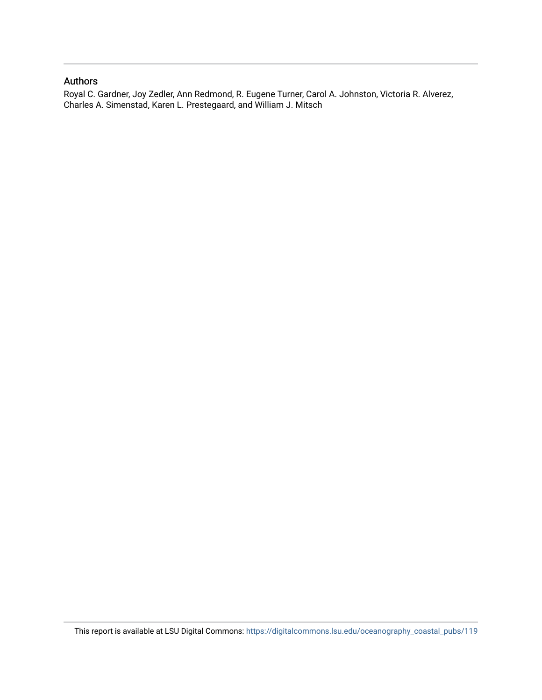# Authors

Royal C. Gardner, Joy Zedler, Ann Redmond, R. Eugene Turner, Carol A. Johnston, Victoria R. Alverez, Charles A. Simenstad, Karen L. Prestegaard, and William J. Mitsch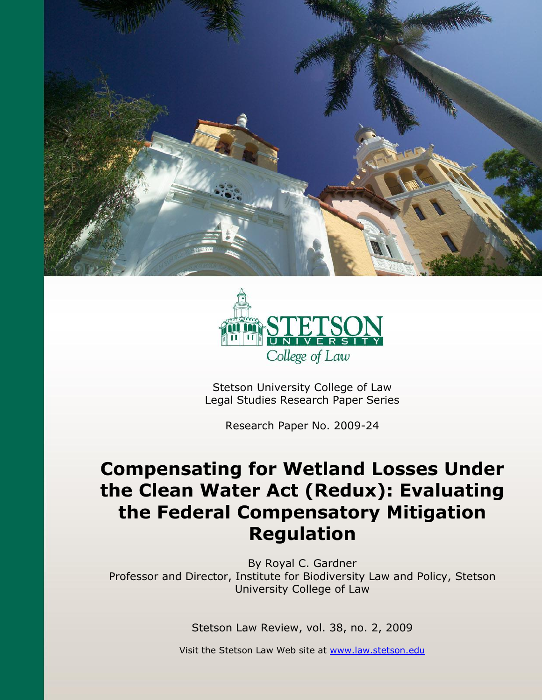



Stetson University College of Law Legal Studies Research Paper Series

Research Paper No. 2009-24

# **Compensating for Wetland Losses Under the Clean Water Act (Redux): Evaluating the Federal Compensatory Mitigation Regulation**

By Royal C. Gardner Professor and Director, Institute for Biodiversity Law and Policy, Stetson University College of Law

Stetson Law Review, vol. 38, no. 2, 2009

Visit the Stetson Law Web site at [www.law.stetson.edu](http://www.law.stetson.edu/)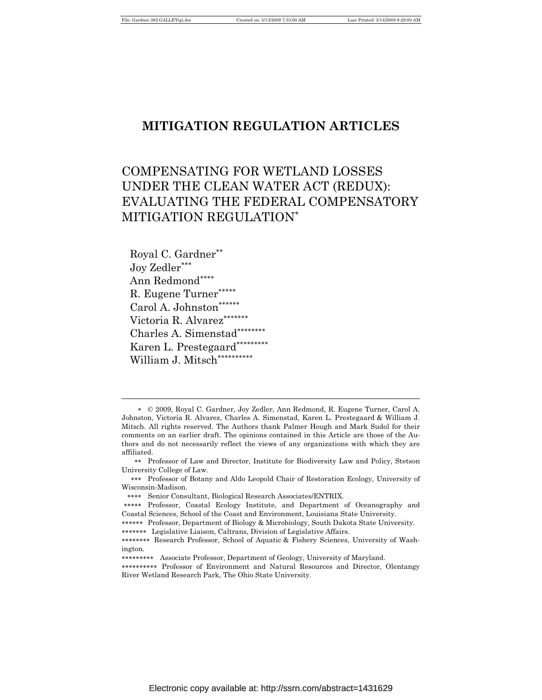# **MITIGATION REGULATION ARTICLES**

# COMPENSATING FOR WETLAND LOSSES UNDER THE CLEAN WATER ACT (REDUX): EVALUATING THE FEDERAL COMPENSATORY MITIGATION REGULATION<sup>∗</sup>

Royal C. Gardner∗∗ Joy Zedler∗∗∗ Ann Redmond∗∗∗∗ R. Eugene Turner∗∗∗∗∗ Carol A. Johnston<sup>\*\*\*\*\*\*</sup> Victoria R. Alvarez<sup>\*\*\*\*\*\*</sup>\* Charles A. Simenstad∗∗∗∗∗∗∗∗ Karen L. Prestegaard<sup>\*\*\*\*\*\*\*\*\*</sup> William J. Mitsch<sup>\*\*\*\*\*\*\*\*</sup>\*\*

<sup>∗</sup> © 2009, Royal C. Gardner, Joy Zedler, Ann Redmond, R. Eugene Turner, Carol A. Johnston, Victoria R. Alvarez, Charles A. Simenstad, Karen L. Prestegaard & William J. Mitsch. All rights reserved. The Authors thank Palmer Hough and Mark Sudol for their comments on an earlier draft. The opinions contained in this Article are those of the Authors and do not necessarily reflect the views of any organizations with which they are affiliated.

<sup>∗∗</sup> Professor of Law and Director, Institute for Biodiversity Law and Policy, Stetson University College of Law.

<sup>∗∗∗</sup> Professor of Botany and Aldo Leopold Chair of Restoration Ecology, University of Wisconsin-Madison.

<sup>∗∗∗∗</sup> Senior Consultant, Biological Research Associates/ENTRIX.

<sup>∗∗∗∗∗</sup> Professor, Coastal Ecology Institute, and Department of Oceanography and Coastal Sciences, School of the Coast and Environment, Louisiana State University.

<sup>∗∗∗∗∗∗</sup> Professor, Department of Biology & Microbiology, South Dakota State University. ∗∗∗∗∗∗∗ Legislative Liaison, Caltrans, Division of Legislative Affairs.

<sup>∗∗∗∗∗∗∗∗</sup> Research Professor, School of Aquatic & Fishery Sciences, University of Washington.

<sup>∗∗∗∗∗∗∗∗∗</sup> Associate Professor, Department of Geology, University of Maryland.

<sup>∗∗∗∗∗∗∗∗∗∗</sup> Professor of Environment and Natural Resources and Director, Olentangy River Wetland Research Park, The Ohio State University.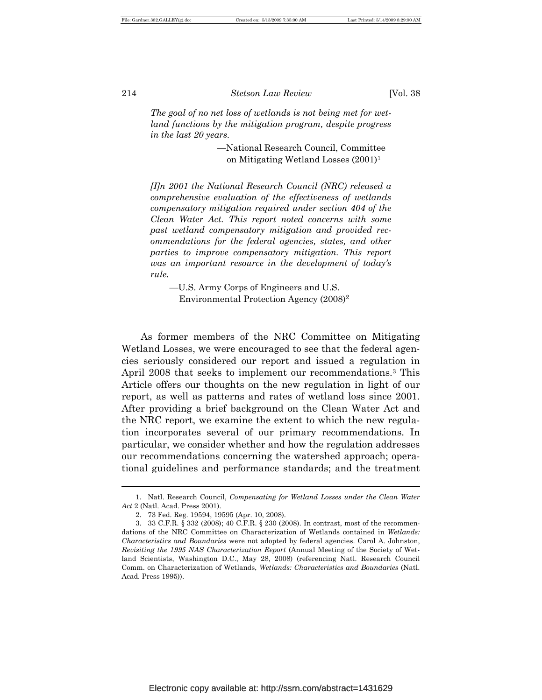*The goal of no net loss of wetlands is not being met for wetland functions by the mitigation program, despite progress in the last 20 years.*

> —National Research Council, Committee on Mitigating Wetland Losses (2001)<sup>1</sup>

*[I]n 2001 the National Research Council (NRC) released a comprehensive evaluation of the effectiveness of wetlands compensatory mitigation required under section 404 of the Clean Water Act. This report noted concerns with some past wetland compensatory mitigation and provided recommendations for the federal agencies, states, and other parties to improve compensatory mitigation. This report was an important resource in the development of today's rule.*

—U.S. Army Corps of Engineers and U.S. Environmental Protection Agency (2008)<sup>2</sup>

As former members of the NRC Committee on Mitigating Wetland Losses, we were encouraged to see that the federal agencies seriously considered our report and issued a regulation in April 2008 that seeks to implement our recommendations.3 This Article offers our thoughts on the new regulation in light of our report, as well as patterns and rates of wetland loss since 2001. After providing a brief background on the Clean Water Act and the NRC report, we examine the extent to which the new regulation incorporates several of our primary recommendations. In particular, we consider whether and how the regulation addresses our recommendations concerning the watershed approach; operational guidelines and performance standards; and the treatment

<sup>1.</sup> Natl. Research Council, *Compensating for Wetland Losses under the Clean Water Act* 2 (Natl. Acad. Press 2001).

<sup>2.</sup> 73 Fed. Reg. 19594, 19595 (Apr. 10, 2008).

<sup>3.</sup> 33 C.F.R. § 332 (2008); 40 C.F.R. § 230 (2008). In contrast, most of the recommendations of the NRC Committee on Characterization of Wetlands contained in *Wetlands: Characteristics and Boundaries* were not adopted by federal agencies. Carol A. Johnston, *Revisiting the 1995 NAS Characterization Report* (Annual Meeting of the Society of Wetland Scientists, Washington D.C., May 28, 2008) (referencing Natl. Research Council Comm. on Characterization of Wetlands, *Wetlands: Characteristics and Boundaries* (Natl. Acad. Press 1995)).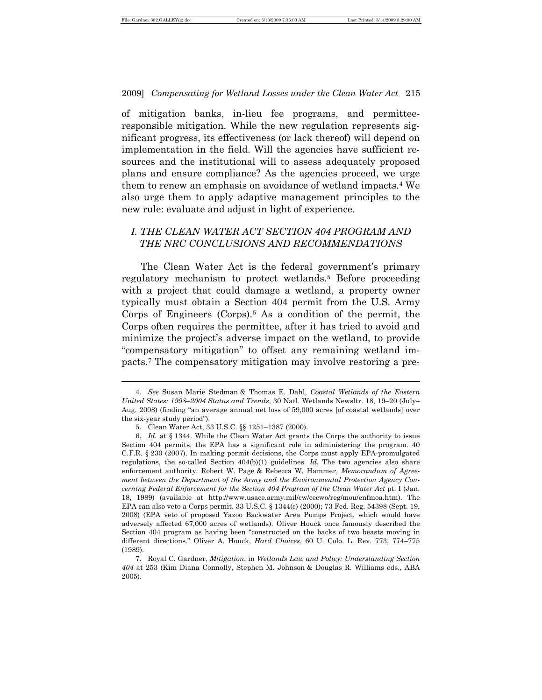$\overline{a}$ 

2009] *Compensating for Wetland Losses under the Clean Water Act* 215

of mitigation banks, in-lieu fee programs, and permitteeresponsible mitigation. While the new regulation represents significant progress, its effectiveness (or lack thereof) will depend on implementation in the field. Will the agencies have sufficient resources and the institutional will to assess adequately proposed plans and ensure compliance? As the agencies proceed, we urge them to renew an emphasis on avoidance of wetland impacts.4 We also urge them to apply adaptive management principles to the new rule: evaluate and adjust in light of experience.

# *I. THE CLEAN WATER ACT SECTION 404 PROGRAM AND THE NRC CONCLUSIONS AND RECOMMENDATIONS*

The Clean Water Act is the federal government's primary regulatory mechanism to protect wetlands.5 Before proceeding with a project that could damage a wetland, a property owner typically must obtain a Section 404 permit from the U.S. Army Corps of Engineers (Corps).6 As a condition of the permit, the Corps often requires the permittee, after it has tried to avoid and minimize the project's adverse impact on the wetland, to provide "compensatory mitigation" to offset any remaining wetland impacts.7 The compensatory mitigation may involve restoring a pre-

<sup>4.</sup> *See* Susan Marie Stedman & Thomas E. Dahl, *Coastal Wetlands of the Eastern United States: 1998*–*2004 Status and Trends*, 30 Natl. Wetlands Newsltr. 18, 19–20 (July– Aug. 2008) (finding "an average annual net loss of 59,000 acres [of coastal wetlands] over the six-year study period").

<sup>5.</sup> Clean Water Act, 33 U.S.C. §§ 1251–1387 (2000).

<sup>6.</sup> *Id.* at § 1344. While the Clean Water Act grants the Corps the authority to issue Section 404 permits, the EPA has a significant role in administering the program. 40 C.F.R. § 230 (2007). In making permit decisions, the Corps must apply EPA-promulgated regulations, the so-called Section 404(b)(1) guidelines. *Id.* The two agencies also share enforcement authority. Robert W. Page & Rebecca W. Hammer, *Memorandum of Agreement between the Department of the Army and the Environmental Protection Agency Concerning Federal Enforcement for the Section 404 Program of the Clean Water Act* pt. I (Jan. 18, 1989) (available at http://www.usace.army.mil/cw/cecwo/reg/mou/enfmoa.htm). The EPA can also veto a Corps permit. 33 U.S.C. § 1344(c) (2000); 73 Fed. Reg. 54398 (Sept. 19, 2008) (EPA veto of proposed Yazoo Backwater Area Pumps Project, which would have adversely affected 67,000 acres of wetlands). Oliver Houck once famously described the Section 404 program as having been "constructed on the backs of two beasts moving in different directions." Oliver A. Houck, *Hard Choices*, 60 U. Colo. L. Rev. 773, 774–775 (1989).

<sup>7.</sup> Royal C. Gardner, *Mitigation*, in *Wetlands Law and Policy: Understanding Section 404* at 253 (Kim Diana Connolly, Stephen M. Johnson & Douglas R. Williams eds., ABA 2005).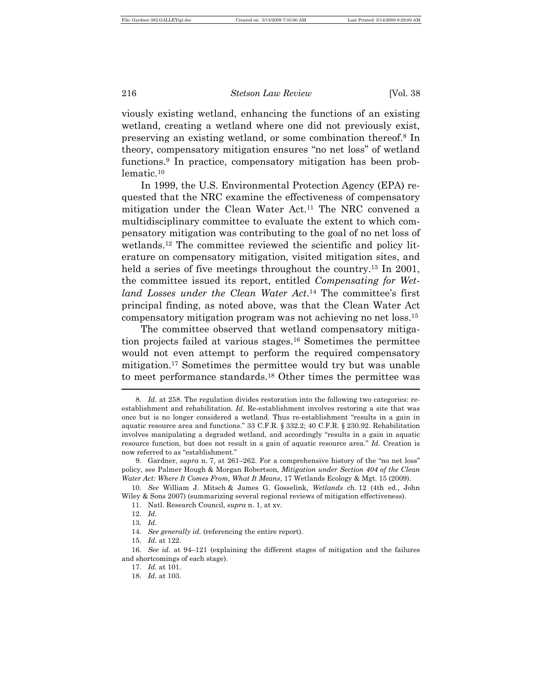viously existing wetland, enhancing the functions of an existing wetland, creating a wetland where one did not previously exist, preserving an existing wetland, or some combination thereof.8 In theory, compensatory mitigation ensures "no net loss" of wetland functions.9 In practice, compensatory mitigation has been problematic.<sup>10</sup>

In 1999, the U.S. Environmental Protection Agency (EPA) requested that the NRC examine the effectiveness of compensatory mitigation under the Clean Water Act.11 The NRC convened a multidisciplinary committee to evaluate the extent to which compensatory mitigation was contributing to the goal of no net loss of wetlands.12 The committee reviewed the scientific and policy literature on compensatory mitigation, visited mitigation sites, and held a series of five meetings throughout the country.<sup>13</sup> In 2001, the committee issued its report, entitled *Compensating for Wetland Losses under the Clean Water Act*.14 The committee's first principal finding, as noted above, was that the Clean Water Act compensatory mitigation program was not achieving no net loss.<sup>15</sup>

The committee observed that wetland compensatory mitigation projects failed at various stages.16 Sometimes the permittee would not even attempt to perform the required compensatory mitigation.17 Sometimes the permittee would try but was unable to meet performance standards.18 Other times the permittee was

10. *See* William J. Mitsch & James G. Gosselink, *Wetlands* ch. 12 (4th ed., John Wiley & Sons 2007) (summarizing several regional reviews of mitigation effectiveness).

<sup>8.</sup> *Id.* at 258. The regulation divides restoration into the following two categories: reestablishment and rehabilitation. *Id.* Re-establishment involves restoring a site that was once but is no longer considered a wetland. Thus re-establishment "results in a gain in aquatic resource area and functions." 33 C.F.R. § 332.2; 40 C.F.R. § 230.92. Rehabilitation involves manipulating a degraded wetland, and accordingly "results in a gain in aquatic resource function, but does not result in a gain of aquatic resource area." *Id.* Creation is now referred to as "establishment."

<sup>9.</sup> Gardner, *supra* n. 7, at 261–262. For a comprehensive history of the "no net loss" policy, see Palmer Hough & Morgan Robertson, *Mitigation under Section 404 of the Clean Water Act: Where It Comes From, What It Means*, 17 Wetlands Ecology & Mgt. 15 (2009).

<sup>11.</sup> Natl. Research Council, *supra* n. 1, at xv.

<sup>12.</sup> *Id.*

<sup>13.</sup> *Id.*

<sup>14.</sup> *See generally id.* (referencing the entire report).

<sup>15.</sup> *Id.* at 122.

<sup>16.</sup> *See id*. at 94–121 (explaining the different stages of mitigation and the failures and shortcomings of each stage).

<sup>17.</sup> *Id.* at 101.

<sup>18.</sup> *Id.* at 103.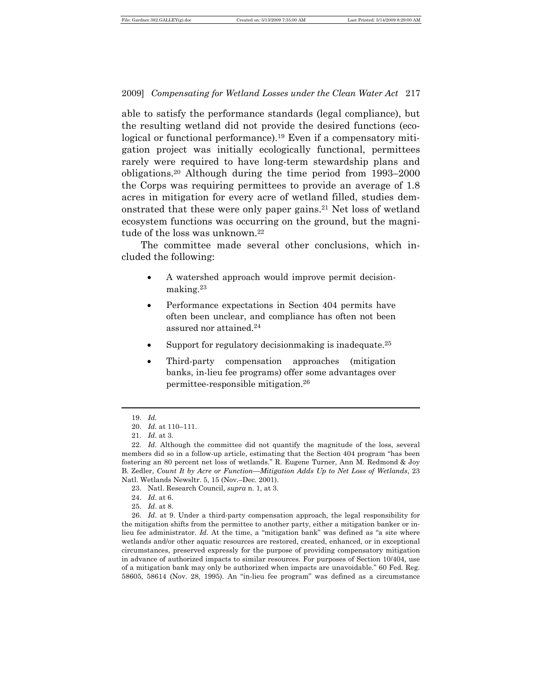able to satisfy the performance standards (legal compliance), but the resulting wetland did not provide the desired functions (ecological or functional performance).<sup>19</sup> Even if a compensatory mitigation project was initially ecologically functional, permittees rarely were required to have long-term stewardship plans and obligations.20 Although during the time period from 1993–2000 the Corps was requiring permittees to provide an average of 1.8 acres in mitigation for every acre of wetland filled, studies demonstrated that these were only paper gains.21 Net loss of wetland ecosystem functions was occurring on the ground, but the magnitude of the loss was unknown.<sup>22</sup>

The committee made several other conclusions, which included the following:

- A watershed approach would improve permit decisionmaking.<sup>23</sup>
- Performance expectations in Section 404 permits have often been unclear, and compliance has often not been assured nor attained.<sup>24</sup>
- Support for regulatory decisionmaking is inadequate.<sup>25</sup>
- Third-party compensation approaches (mitigation banks, in-lieu fee programs) offer some advantages over permittee-responsible mitigation.<sup>26</sup>

 $\overline{a}$ 

23. Natl. Research Council, *supra* n. 1, at 3.

<sup>19.</sup> *Id.* 

<sup>20.</sup> *Id.* at 110–111.

<sup>21.</sup> *Id*. at 3.

<sup>22.</sup> *Id*. Although the committee did not quantify the magnitude of the loss, several members did so in a follow-up article, estimating that the Section 404 program "has been fostering an 80 percent net loss of wetlands." R. Eugene Turner, Ann M. Redmond & Joy B. Zedler, *Count It by Acre or Function—Mitigation Adds Up to Net Loss of Wetlands*, 23 Natl. Wetlands Newsltr. 5, 15 (Nov.–Dec. 2001).

<sup>24.</sup> *Id*. at 6.

<sup>25.</sup> *Id*. at 8.

<sup>26.</sup> *Id*. at 9. Under a third-party compensation approach, the legal responsibility for the mitigation shifts from the permittee to another party, either a mitigation banker or inlieu fee administrator. *Id.* At the time, a "mitigation bank" was defined as "a site where wetlands and/or other aquatic resources are restored, created, enhanced, or in exceptional circumstances, preserved expressly for the purpose of providing compensatory mitigation in advance of authorized impacts to similar resources. For purposes of Section 10/404, use of a mitigation bank may only be authorized when impacts are unavoidable." 60 Fed. Reg. 58605, 58614 (Nov. 28, 1995). An "in-lieu fee program" was defined as a circumstance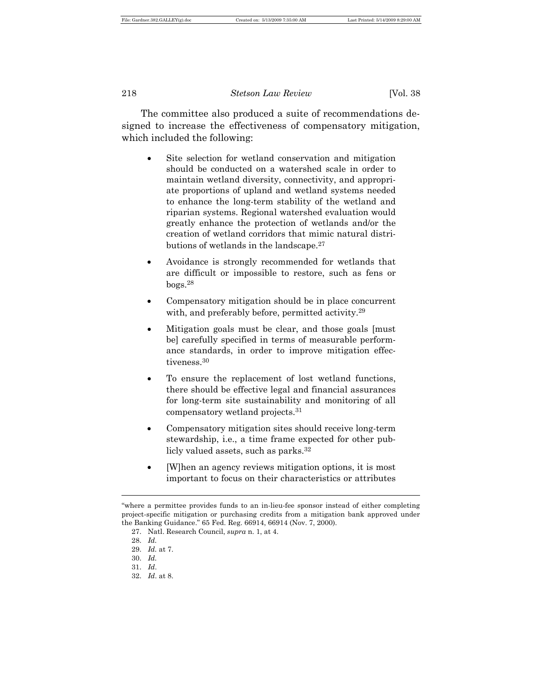The committee also produced a suite of recommendations designed to increase the effectiveness of compensatory mitigation, which included the following:

- Site selection for wetland conservation and mitigation should be conducted on a watershed scale in order to maintain wetland diversity, connectivity, and appropriate proportions of upland and wetland systems needed to enhance the long-term stability of the wetland and riparian systems. Regional watershed evaluation would greatly enhance the protection of wetlands and/or the creation of wetland corridors that mimic natural distributions of wetlands in the landscape. $27$
- Avoidance is strongly recommended for wetlands that are difficult or impossible to restore, such as fens or bogs.<sup>28</sup>
- Compensatory mitigation should be in place concurrent with, and preferably before, permitted activity.<sup>29</sup>
- Mitigation goals must be clear, and those goals [must be] carefully specified in terms of measurable performance standards, in order to improve mitigation effectiveness.<sup>30</sup>
- To ensure the replacement of lost wetland functions, there should be effective legal and financial assurances for long-term site sustainability and monitoring of all compensatory wetland projects.<sup>31</sup>
- Compensatory mitigation sites should receive long-term stewardship, i.e., a time frame expected for other publicly valued assets, such as parks.<sup>32</sup>
- [W]hen an agency reviews mitigation options, it is most important to focus on their characteristics or attributes

<sup>&</sup>quot;where a permittee provides funds to an in-lieu-fee sponsor instead of either completing project-specific mitigation or purchasing credits from a mitigation bank approved under the Banking Guidance." 65 Fed. Reg. 66914, 66914 (Nov. 7, 2000).

<sup>27.</sup> Natl. Research Council, *supra* n. 1, at 4.

<sup>28.</sup> *Id.*

<sup>29.</sup> *Id.* at 7.

<sup>30.</sup> *Id.*

<sup>31.</sup> *Id*.

<sup>32.</sup> *Id*. at 8.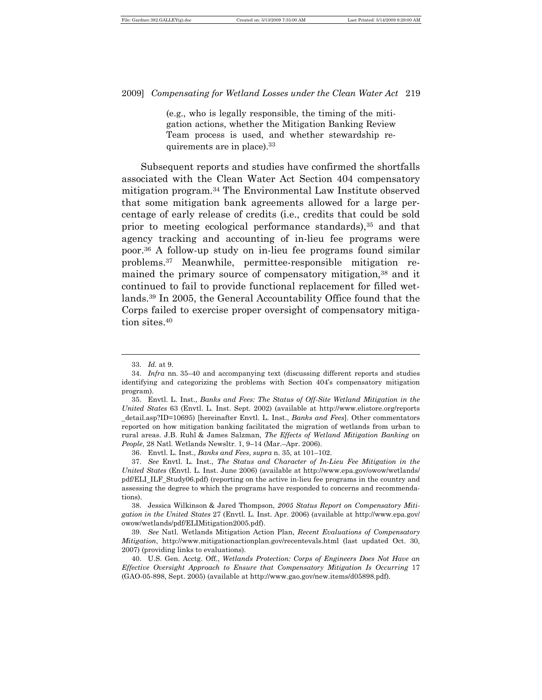(e.g., who is legally responsible, the timing of the mitigation actions, whether the Mitigation Banking Review Team process is used, and whether stewardship requirements are in place).<sup>33</sup>

Subsequent reports and studies have confirmed the shortfalls associated with the Clean Water Act Section 404 compensatory mitigation program.34 The Environmental Law Institute observed that some mitigation bank agreements allowed for a large percentage of early release of credits (i.e., credits that could be sold prior to meeting ecological performance standards),35 and that agency tracking and accounting of in-lieu fee programs were poor.36 A follow-up study on in-lieu fee programs found similar problems.37 Meanwhile, permittee-responsible mitigation remained the primary source of compensatory mitigation,38 and it continued to fail to provide functional replacement for filled wetlands.39 In 2005, the General Accountability Office found that the Corps failed to exercise proper oversight of compensatory mitigation sites.<sup>40</sup>

<sup>33.</sup> *Id.* at 9.

<sup>34.</sup> *Infra* nn. 35–40 and accompanying text (discussing different reports and studies identifying and categorizing the problems with Section 404's compensatory mitigation program).

<sup>35.</sup> Envtl. L. Inst., *Banks and Fees: The Status of Off-Site Wetland Mitigation in the United States* 63 (Envtl. L. Inst. Sept. 2002) (available at http://www.elistore.org/reports \_detail.asp?ID=10695) [hereinafter Envtl. L. Inst., *Banks and Fees*]. Other commentators reported on how mitigation banking facilitated the migration of wetlands from urban to rural areas. J.B. Ruhl & James Salzman, *The Effects of Wetland Mitigation Banking on People*, 28 Natl. Wetlands Newsltr. 1, 9–14 (Mar.–Apr. 2006).

<sup>36.</sup> Envtl. L. Inst., *Banks and Fees*, *supra* n. 35, at 101–102.

<sup>37.</sup> *See* Envtl. L. Inst., *The Status and Character of In-Lieu Fee Mitigation in the United States* (Envtl. L. Inst. June 2006) (available at http://www.epa.gov/owow/wetlands/ pdf/ELI\_ILF\_Study06.pdf) (reporting on the active in-lieu fee programs in the country and assessing the degree to which the programs have responded to concerns and recommendations).

<sup>38.</sup> Jessica Wilkinson & Jared Thompson, *2005 Status Report on Compensatory Mitigation in the United States* 27 (Envtl. L. Inst. Apr. 2006) (available at http://www.epa.gov/ owow/wetlands/pdf/ELIMitigation2005.pdf).

<sup>39.</sup> *See* Natl. Wetlands Mitigation Action Plan, *Recent Evaluations of Compensatory Mitigation*, http://www.mitigationactionplan.gov/recentevals.html (last updated Oct. 30, 2007) (providing links to evaluations).

<sup>40.</sup> U.S. Gen. Acctg. Off., *Wetlands Protection: Corps of Engineers Does Not Have an Effective Oversight Approach to Ensure that Compensatory Mitigation Is Occurring* 17 (GAO-05-898, Sept. 2005) (available at http://www.gao.gov/new.items/d05898.pdf).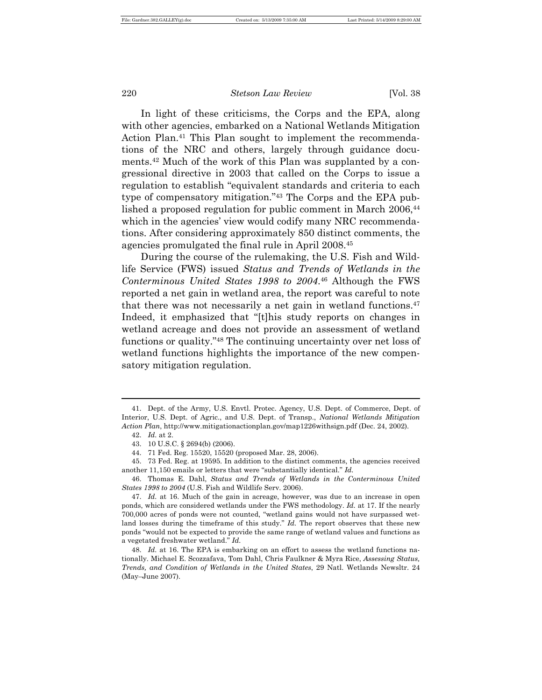In light of these criticisms, the Corps and the EPA, along with other agencies, embarked on a National Wetlands Mitigation Action Plan.<sup>41</sup> This Plan sought to implement the recommendations of the NRC and others, largely through guidance documents.42 Much of the work of this Plan was supplanted by a congressional directive in 2003 that called on the Corps to issue a regulation to establish "equivalent standards and criteria to each type of compensatory mitigation."43 The Corps and the EPA published a proposed regulation for public comment in March 2006,<sup>44</sup> which in the agencies' view would codify many NRC recommendations. After considering approximately 850 distinct comments, the agencies promulgated the final rule in April 2008.<sup>45</sup>

During the course of the rulemaking, the U.S. Fish and Wildlife Service (FWS) issued *Status and Trends of Wetlands in the Conterminous United States 1998 to 2004*.46 Although the FWS reported a net gain in wetland area, the report was careful to note that there was not necessarily a net gain in wetland functions.<sup>47</sup> Indeed, it emphasized that "[t]his study reports on changes in wetland acreage and does not provide an assessment of wetland functions or quality."48 The continuing uncertainty over net loss of wetland functions highlights the importance of the new compensatory mitigation regulation.

 $\overline{a}$ 

46. Thomas E. Dahl, *Status and Trends of Wetlands in the Conterminous United States 1998 to 2004* (U.S. Fish and Wildlife Serv. 2006).

<sup>41.</sup> Dept. of the Army, U.S. Envtl. Protec. Agency, U.S. Dept. of Commerce, Dept. of Interior, U.S. Dept. of Agric., and U.S. Dept. of Transp., *National Wetlands Mitigation Action Plan*, http://www.mitigationactionplan.gov/map1226withsign.pdf (Dec. 24, 2002).

<sup>42.</sup> *Id.* at 2.

<sup>43.</sup> 10 U.S.C. § 2694(b) (2006).

<sup>44.</sup> 71 Fed. Reg. 15520, 15520 (proposed Mar. 28, 2006).

<sup>45.</sup> 73 Fed. Reg. at 19595. In addition to the distinct comments, the agencies received another 11,150 emails or letters that were "substantially identical." *Id.*

<sup>47.</sup> *Id.* at 16. Much of the gain in acreage, however, was due to an increase in open ponds, which are considered wetlands under the FWS methodology. *Id.* at 17. If the nearly 700,000 acres of ponds were not counted, "wetland gains would not have surpassed wetland losses during the timeframe of this study." *Id.* The report observes that these new ponds "would not be expected to provide the same range of wetland values and functions as a vegetated freshwater wetland." *Id.*

<sup>48.</sup> *Id.* at 16. The EPA is embarking on an effort to assess the wetland functions nationally. Michael E. Scozzafava, Tom Dahl, Chris Faulkner & Myra Rice, *Assessing Status, Trends, and Condition of Wetlands in the United States*, 29 Natl. Wetlands Newsltr. 24 (May–June 2007).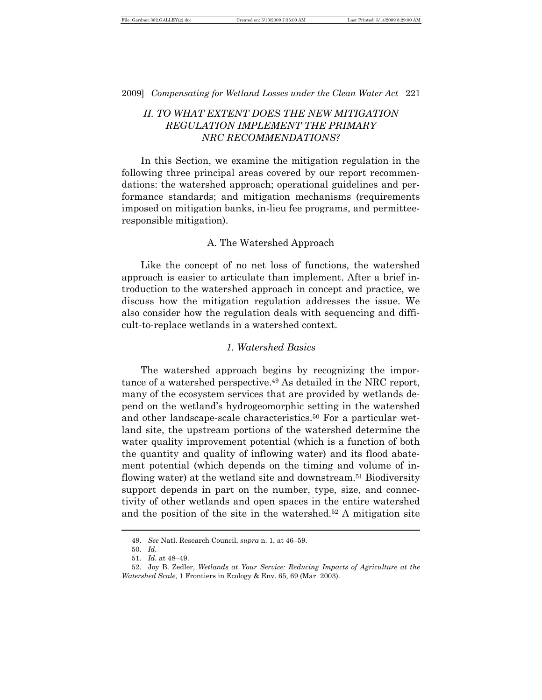# *II. TO WHAT EXTENT DOES THE NEW MITIGATION REGULATION IMPLEMENT THE PRIMARY NRC RECOMMENDATIONS?*

In this Section, we examine the mitigation regulation in the following three principal areas covered by our report recommendations: the watershed approach; operational guidelines and performance standards; and mitigation mechanisms (requirements imposed on mitigation banks, in-lieu fee programs, and permitteeresponsible mitigation).

#### A. The Watershed Approach

Like the concept of no net loss of functions, the watershed approach is easier to articulate than implement. After a brief introduction to the watershed approach in concept and practice, we discuss how the mitigation regulation addresses the issue. We also consider how the regulation deals with sequencing and difficult-to-replace wetlands in a watershed context.

#### *1. Watershed Basics*

The watershed approach begins by recognizing the importance of a watershed perspective.49 As detailed in the NRC report, many of the ecosystem services that are provided by wetlands depend on the wetland's hydrogeomorphic setting in the watershed and other landscape-scale characteristics.<sup>50</sup> For a particular wetland site, the upstream portions of the watershed determine the water quality improvement potential (which is a function of both the quantity and quality of inflowing water) and its flood abatement potential (which depends on the timing and volume of inflowing water) at the wetland site and downstream.51 Biodiversity support depends in part on the number, type, size, and connectivity of other wetlands and open spaces in the entire watershed and the position of the site in the watershed.52 A mitigation site

<sup>49.</sup> *See* Natl. Research Council, *supra* n. 1, at 46–59.

<sup>50.</sup> *Id.*

<sup>51.</sup> *Id.* at 48–49.

<sup>52.</sup> Joy B. Zedler, *Wetlands at Your Service: Reducing Impacts of Agriculture at the Watershed Scale*, 1 Frontiers in Ecology & Env. 65, 69 (Mar. 2003).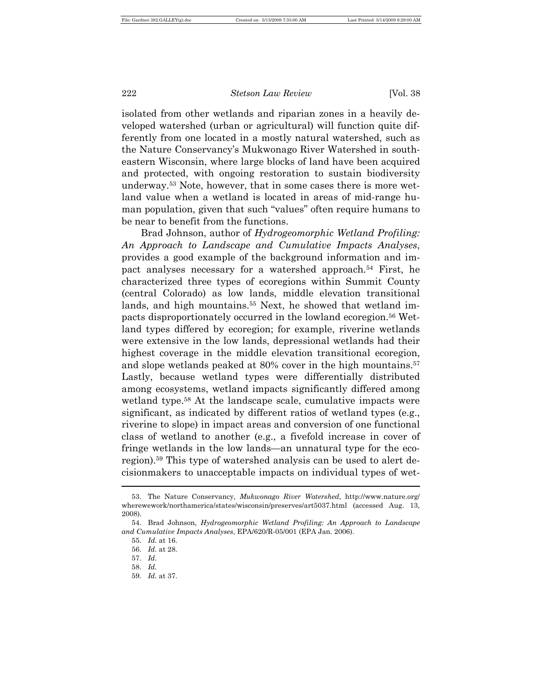isolated from other wetlands and riparian zones in a heavily developed watershed (urban or agricultural) will function quite differently from one located in a mostly natural watershed, such as the Nature Conservancy's Mukwonago River Watershed in southeastern Wisconsin, where large blocks of land have been acquired and protected, with ongoing restoration to sustain biodiversity underway.53 Note, however, that in some cases there is more wetland value when a wetland is located in areas of mid-range human population, given that such "values" often require humans to be near to benefit from the functions.

Brad Johnson, author of *Hydrogeomorphic Wetland Profiling: An Approach to Landscape and Cumulative Impacts Analyses*, provides a good example of the background information and impact analyses necessary for a watershed approach.54 First, he characterized three types of ecoregions within Summit County (central Colorado) as low lands, middle elevation transitional lands, and high mountains.<sup>55</sup> Next, he showed that wetland impacts disproportionately occurred in the lowland ecoregion.56 Wetland types differed by ecoregion; for example, riverine wetlands were extensive in the low lands, depressional wetlands had their highest coverage in the middle elevation transitional ecoregion, and slope wetlands peaked at 80% cover in the high mountains.<sup>57</sup> Lastly, because wetland types were differentially distributed among ecosystems, wetland impacts significantly differed among wetland type.58 At the landscape scale, cumulative impacts were significant, as indicated by different ratios of wetland types (e.g., riverine to slope) in impact areas and conversion of one functional class of wetland to another (e.g., a fivefold increase in cover of fringe wetlands in the low lands—an unnatural type for the ecoregion).59 This type of watershed analysis can be used to alert decisionmakers to unacceptable impacts on individual types of wet-  $\overline{a}$ 

<sup>53.</sup> The Nature Conservancy, *Mukwonago River Watershed*, http://www.nature.org/ wherewework/northamerica/states/wisconsin/preserves/art5037.html (accessed Aug. 13, 2008).

<sup>54.</sup> Brad Johnson, *Hydrogeomorphic Wetland Profiling: An Approach to Landscape and Cumulative Impacts Analyses*, EPA/620/R-05/001 (EPA Jan. 2006).

<sup>55.</sup> *Id.* at 16.

<sup>56.</sup> *Id*. at 28.

<sup>57.</sup> *Id.*

<sup>58.</sup> *Id.*

<sup>59.</sup> *Id.* at 37.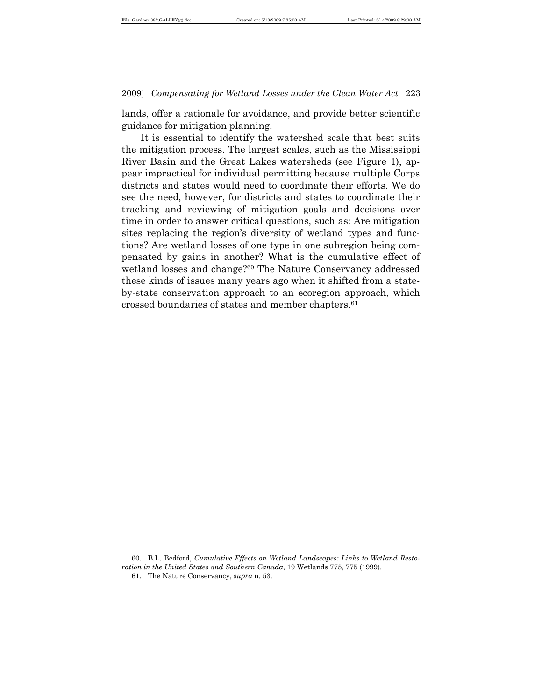lands, offer a rationale for avoidance, and provide better scientific guidance for mitigation planning.

It is essential to identify the watershed scale that best suits the mitigation process. The largest scales, such as the Mississippi River Basin and the Great Lakes watersheds (see Figure 1), appear impractical for individual permitting because multiple Corps districts and states would need to coordinate their efforts. We do see the need, however, for districts and states to coordinate their tracking and reviewing of mitigation goals and decisions over time in order to answer critical questions, such as: Are mitigation sites replacing the region's diversity of wetland types and functions? Are wetland losses of one type in one subregion being compensated by gains in another? What is the cumulative effect of wetland losses and change?60 The Nature Conservancy addressed these kinds of issues many years ago when it shifted from a stateby-state conservation approach to an ecoregion approach, which crossed boundaries of states and member chapters.<sup>61</sup>

<sup>60.</sup> B.L. Bedford, *Cumulative Effects on Wetland Landscapes: Links to Wetland Restoration in the United States and Southern Canada*, 19 Wetlands 775, 775 (1999).

<sup>61.</sup> The Nature Conservancy, *supra* n. 53.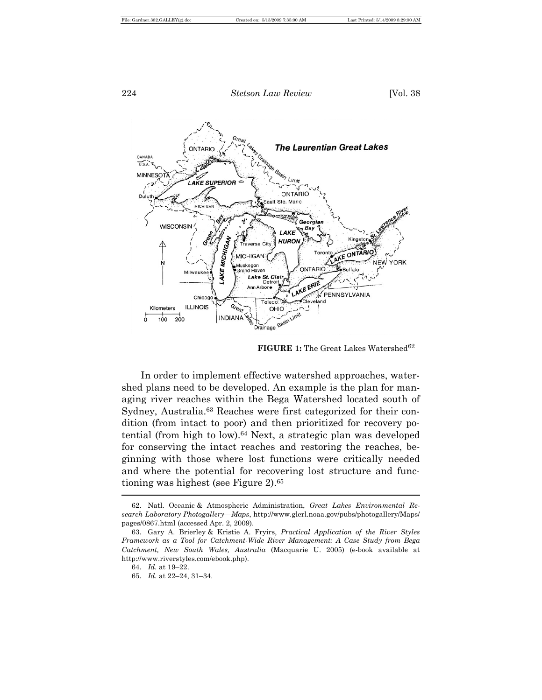

**FIGURE 1:** The Great Lakes Watershed<sup>62</sup>

In order to implement effective watershed approaches, watershed plans need to be developed. An example is the plan for managing river reaches within the Bega Watershed located south of Sydney, Australia.<sup>63</sup> Reaches were first categorized for their condition (from intact to poor) and then prioritized for recovery potential (from high to low).64 Next, a strategic plan was developed for conserving the intact reaches and restoring the reaches, beginning with those where lost functions were critically needed and where the potential for recovering lost structure and functioning was highest (see Figure 2).<sup>65</sup>

<sup>62.</sup> Natl. Oceanic & Atmospheric Administration, *Great Lakes Environmental Research Laboratory Photogallery—Maps*, http://www.glerl.noaa.gov/pubs/photogallery/Maps/ pages/0867.html (accessed Apr. 2, 2009).

<sup>63.</sup> Gary A. Brierley & Kristie A. Fryirs, *Practical Application of the River Styles Framework as a Tool for Catchment-Wide River Management: A Case Study from Bega Catchment, New South Wales, Australia* (Macquarie U. 2005) (e-book available at http://www.riverstyles.com/ebook.php).

<sup>64.</sup> *Id.* at 19–22.

<sup>65.</sup> *Id.* at 22–24, 31–34.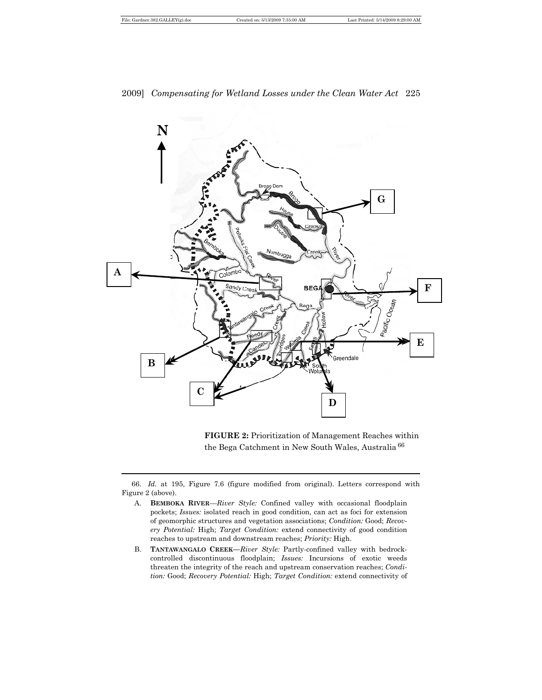$\overline{a}$ 

### 2009] *Compensating for Wetland Losses under the Clean Water Act* 225



**FIGURE 2:** Prioritization of Management Reaches within the Bega Catchment in New South Wales, Australia <sup>66</sup>

66. *Id.* at 195, Figure 7.6 (figure modified from original). Letters correspond with Figure 2 (above).

- A. **BEMBOKA RIVER**—*River Style:* Confined valley with occasional floodplain pockets; *Issues:* isolated reach in good condition, can act as foci for extension of geomorphic structures and vegetation associations; *Condition:* Good; *Recovery Potential:* High; *Target Condition:* extend connectivity of good condition reaches to upstream and downstream reaches; *Priority:* High.
- B. **TANTAWANGALO CREEK***—River Style:* Partly-confined valley with bedrockcontrolled discontinuous floodplain; *Issues:* Incursions of exotic weeds threaten the integrity of the reach and upstream conservation reaches; *Condition:* Good; *Recovery Potential:* High; *Target Condition:* extend connectivity of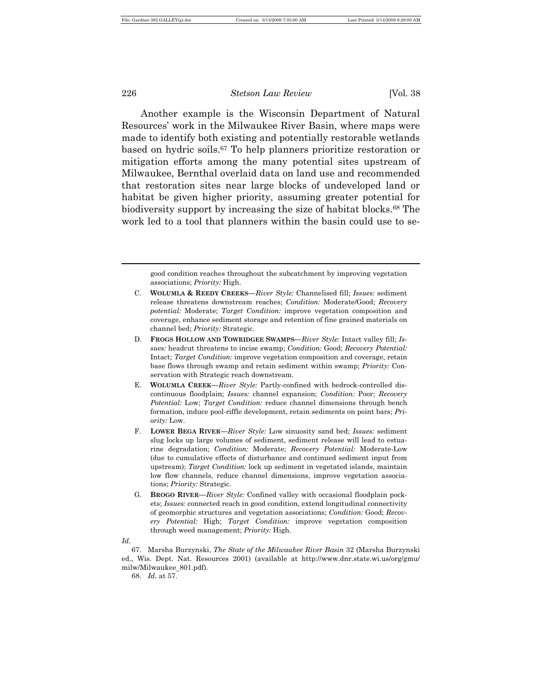Another example is the Wisconsin Department of Natural Resources' work in the Milwaukee River Basin, where maps were made to identify both existing and potentially restorable wetlands based on hydric soils.67 To help planners prioritize restoration or mitigation efforts among the many potential sites upstream of Milwaukee, Bernthal overlaid data on land use and recommended that restoration sites near large blocks of undeveloped land or habitat be given higher priority, assuming greater potential for biodiversity support by increasing the size of habitat blocks.68 The work led to a tool that planners within the basin could use to se-

good condition reaches throughout the subcatchment by improving vegetation associations; *Priority:* High.

- D. **FROGS HOLLOW AND TOWRIDGEE SWAMPS—***River Style:* Intact valley fill; *Issues:* headcut threatens to incise swamp; *Condition:* Good; *Recovery Potential:*  Intact; *Target Condition:* improve vegetation composition and coverage, retain base flows through swamp and retain sediment within swamp; *Priority:* Conservation with Strategic reach downstream.
- E. **WOLUMLA CREEK***—River Style:* Partly-confined with bedrock-controlled discontinuous floodplain; *Issues:* channel expansion; *Condition:* Poor; *Recovery Potential:* Low; *Target Condition:* reduce channel dimensions through bench formation, induce pool-riffle development, retain sediments on point bars; *Priority:* Low.
- F. **LOWER BEGA RIVER—***River Style:* Low sinuosity sand bed; *Issues:* sediment slug locks up large volumes of sediment, sediment release will lead to estuarine degradation; *Condition:* Moderate; *Recovery Potential:* Moderate-Low (due to cumulative effects of disturbance and continued sediment input from upstream); *Target Condition:* lock up sediment in vegetated islands, maintain low flow channels, reduce channel dimensions, improve vegetation associations; *Priority:* Strategic.
- G. **BROGO RIVER***—River Style:* Confined valley with occasional floodplain pockets; *Issues:* connected reach in good condition, extend longitudinal connectivity of geomorphic structures and vegetation associations; *Condition:* Good; *Recovery Potential:* High; *Target Condition:* improve vegetation composition through weed management; *Priority:* High.
- *Id.*

 $\overline{a}$ 

67. Marsha Burzynski, *The State of the Milwaukee River Basin* 32 (Marsha Burzynski ed., Wis. Dept. Nat. Resources 2001) (available at http://www.dnr.state.wi.us/org/gmu/ milw/Milwaukee\_801.pdf).

68. *Id.* at 57.

C. **WOLUMLA & REEDY CREEKS***—River Style:* Channelised fill; *Issues:* sediment release threatens downstream reaches; *Condition:* Moderate/Good; *Recovery potential:* Moderate; *Target Condition:* improve vegetation composition and coverage, enhance sediment storage and retention of fine grained materials on channel bed; *Priority:* Strategic.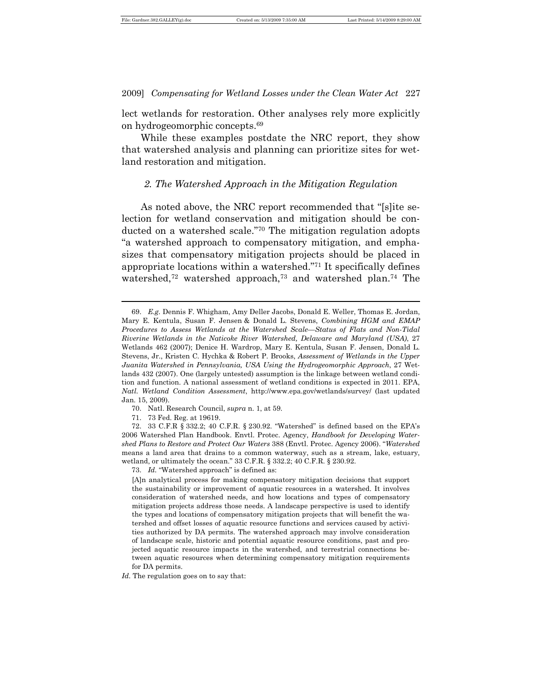lect wetlands for restoration. Other analyses rely more explicitly on hydrogeomorphic concepts.<sup>69</sup>

While these examples postdate the NRC report, they show that watershed analysis and planning can prioritize sites for wetland restoration and mitigation.

#### *2. The Watershed Approach in the Mitigation Regulation*

As noted above, the NRC report recommended that "[s]ite selection for wetland conservation and mitigation should be conducted on a watershed scale."70 The mitigation regulation adopts "a watershed approach to compensatory mitigation, and emphasizes that compensatory mitigation projects should be placed in appropriate locations within a watershed."71 It specifically defines watershed,<sup>72</sup> watershed approach,<sup>73</sup> and watershed plan.<sup>74</sup> The

- 70. Natl. Research Council, *supra* n. 1, at 59.
- 71. 73 Fed. Reg. at 19619.

 $\overline{a}$ 

72. 33 C.F.R § 332.2; 40 C.F.R. § 230.92. "Watershed" is defined based on the EPA's 2006 Watershed Plan Handbook. Envtl. Protec. Agency, *Handbook for Developing Watershed Plans to Restore and Protect Our Waters* 388 (Envtl. Protec. Agency 2006). "*Watershed* means a land area that drains to a common waterway, such as a stream, lake, estuary, wetland, or ultimately the ocean." 33 C.F.R. § 332.2; 40 C.F.R. § 230.92.

73. *Id.* "Watershed approach" is defined as:

[A]n analytical process for making compensatory mitigation decisions that support the sustainability or improvement of aquatic resources in a watershed. It involves consideration of watershed needs, and how locations and types of compensatory mitigation projects address those needs. A landscape perspective is used to identify the types and locations of compensatory mitigation projects that will benefit the watershed and offset losses of aquatic resource functions and services caused by activities authorized by DA permits. The watershed approach may involve consideration of landscape scale, historic and potential aquatic resource conditions, past and projected aquatic resource impacts in the watershed, and terrestrial connections between aquatic resources when determining compensatory mitigation requirements for DA permits.

*Id.* The regulation goes on to say that:

<sup>69.</sup> *E.g.* Dennis F. Whigham, Amy Deller Jacobs, Donald E. Weller, Thomas E. Jordan, Mary E. Kentula, Susan F. Jensen & Donald L. Stevens, *Combining HGM and EMAP Procedures to Assess Wetlands at the Watershed Scale—Status of Flats and Non-Tidal Riverine Wetlands in the Naticoke River Watershed, Delaware and Maryland (USA)*, 27 Wetlands 462 (2007); Denice H. Wardrop, Mary E. Kentula, Susan F. Jensen, Donald L. Stevens, Jr., Kristen C. Hychka & Robert P. Brooks, *Assessment of Wetlands in the Upper Juanita Watershed in Pennsylvania, USA Using the Hydrogeomorphic Approach*, 27 Wetlands 432 (2007). One (largely untested) assumption is the linkage between wetland condition and function. A national assessment of wetland conditions is expected in 2011. EPA, *Natl. Wetland Condition Assessment*, http://www.epa.gov/wetlands/survey/ (last updated Jan. 15, 2009).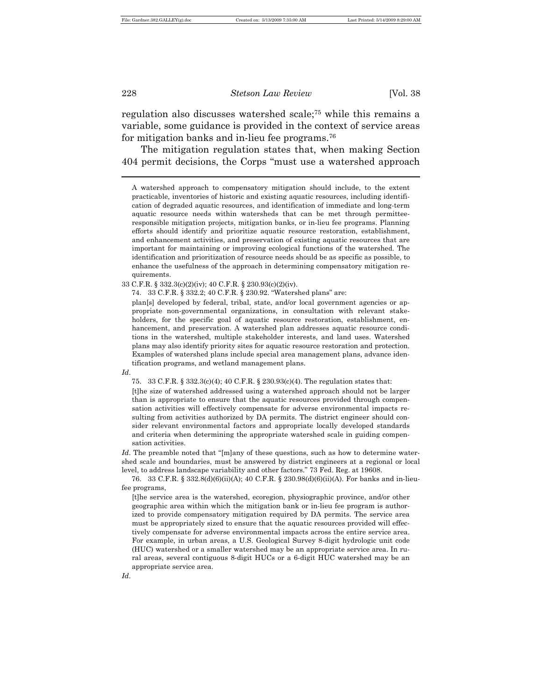regulation also discusses watershed scale;75 while this remains a variable, some guidance is provided in the context of service areas for mitigation banks and in-lieu fee programs.<sup>76</sup>

The mitigation regulation states that, when making Section 404 permit decisions, the Corps "must use a watershed approach

74. 33 C.F.R. § 332.2; 40 C.F.R. § 230.92. "Watershed plans" are:

plan[s] developed by federal, tribal, state, and/or local government agencies or appropriate non-governmental organizations, in consultation with relevant stakeholders, for the specific goal of aquatic resource restoration, establishment, enhancement, and preservation. A watershed plan addresses aquatic resource conditions in the watershed, multiple stakeholder interests, and land uses. Watershed plans may also identify priority sites for aquatic resource restoration and protection. Examples of watershed plans include special area management plans, advance identification programs, and wetland management plans.

*Id*.

75. 33 C.F.R. § 332.3(c)(4); 40 C.F.R. § 230.93(c)(4). The regulation states that:

[t]he size of watershed addressed using a watershed approach should not be larger than is appropriate to ensure that the aquatic resources provided through compensation activities will effectively compensate for adverse environmental impacts resulting from activities authorized by DA permits. The district engineer should consider relevant environmental factors and appropriate locally developed standards and criteria when determining the appropriate watershed scale in guiding compensation activities.

*Id*. The preamble noted that "[m]any of these questions, such as how to determine watershed scale and boundaries, must be answered by district engineers at a regional or local level, to address landscape variability and other factors." 73 Fed. Reg. at 19608.

76. 33 C.F.R. § 332.8(d)(6)(ii)(A); 40 C.F.R. § 230.98(d)(6)(ii)(A). For banks and in-lieufee programs,

[t]he service area is the watershed, ecoregion, physiographic province, and/or other geographic area within which the mitigation bank or in-lieu fee program is authorized to provide compensatory mitigation required by DA permits. The service area must be appropriately sized to ensure that the aquatic resources provided will effectively compensate for adverse environmental impacts across the entire service area. For example, in urban areas, a U.S. Geological Survey 8-digit hydrologic unit code (HUC) watershed or a smaller watershed may be an appropriate service area. In rural areas, several contiguous 8-digit HUCs or a 6-digit HUC watershed may be an appropriate service area.

*Id*.

A watershed approach to compensatory mitigation should include, to the extent practicable, inventories of historic and existing aquatic resources, including identification of degraded aquatic resources, and identification of immediate and long-term aquatic resource needs within watersheds that can be met through permitteeresponsible mitigation projects, mitigation banks, or in-lieu fee programs. Planning efforts should identify and prioritize aquatic resource restoration, establishment, and enhancement activities, and preservation of existing aquatic resources that are important for maintaining or improving ecological functions of the watershed. The identification and prioritization of resource needs should be as specific as possible, to enhance the usefulness of the approach in determining compensatory mitigation requirements.

<sup>33</sup> C.F.R. § 332.3(c)(2)(iv); 40 C.F.R. § 230.93(c)(2)(iv).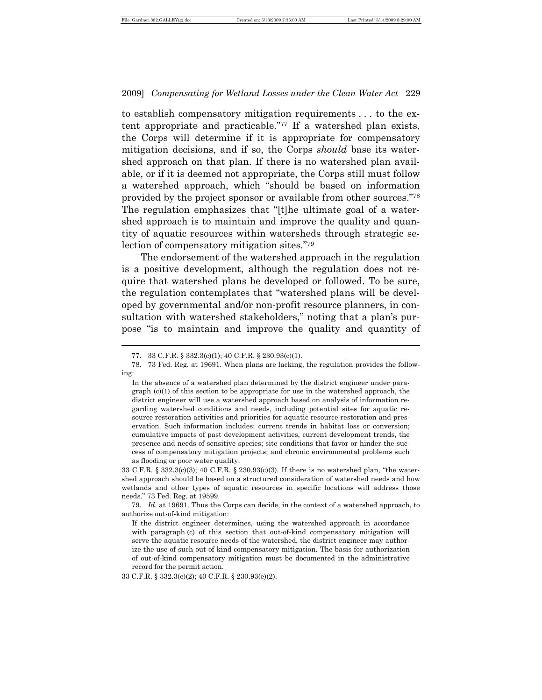to establish compensatory mitigation requirements . . . to the extent appropriate and practicable."77 If a watershed plan exists, the Corps will determine if it is appropriate for compensatory mitigation decisions, and if so, the Corps *should* base its watershed approach on that plan. If there is no watershed plan available, or if it is deemed not appropriate, the Corps still must follow a watershed approach, which "should be based on information provided by the project sponsor or available from other sources."<sup>78</sup> The regulation emphasizes that "[t]he ultimate goal of a watershed approach is to maintain and improve the quality and quantity of aquatic resources within watersheds through strategic selection of compensatory mitigation sites."<sup>79</sup>

The endorsement of the watershed approach in the regulation is a positive development, although the regulation does not require that watershed plans be developed or followed. To be sure, the regulation contemplates that "watershed plans will be developed by governmental and/or non-profit resource planners, in consultation with watershed stakeholders," noting that a plan's purpose "is to maintain and improve the quality and quantity of

 $\overline{a}$ 

33 C.F.R. § 332.3(c)(3); 40 C.F.R. § 230.93(c)(3). If there is no watershed plan, "the watershed approach should be based on a structured consideration of watershed needs and how wetlands and other types of aquatic resources in specific locations will address those needs." 73 Fed. Reg. at 19599.

33 C.F.R. § 332.3(e)(2); 40 C.F.R. § 230.93(e)(2).

<sup>77.</sup> 33 C.F.R. § 332.3(c)(1); 40 C.F.R. § 230.93(c)(1).

<sup>78.</sup> 73 Fed. Reg. at 19691. When plans are lacking, the regulation provides the following:

In the absence of a watershed plan determined by the district engineer under para $graph (c)(1)$  of this section to be appropriate for use in the watershed approach, the district engineer will use a watershed approach based on analysis of information regarding watershed conditions and needs, including potential sites for aquatic resource restoration activities and priorities for aquatic resource restoration and preservation. Such information includes: current trends in habitat loss or conversion; cumulative impacts of past development activities, current development trends, the presence and needs of sensitive species; site conditions that favor or hinder the success of compensatory mitigation projects; and chronic environmental problems such as flooding or poor water quality.

<sup>79.</sup> *Id.* at 19691. Thus the Corps can decide, in the context of a watershed approach, to authorize out-of-kind mitigation:

If the district engineer determines, using the watershed approach in accordance with paragraph (c) of this section that out-of-kind compensatory mitigation will serve the aquatic resource needs of the watershed, the district engineer may authorize the use of such out-of-kind compensatory mitigation. The basis for authorization of out-of-kind compensatory mitigation must be documented in the administrative record for the permit action.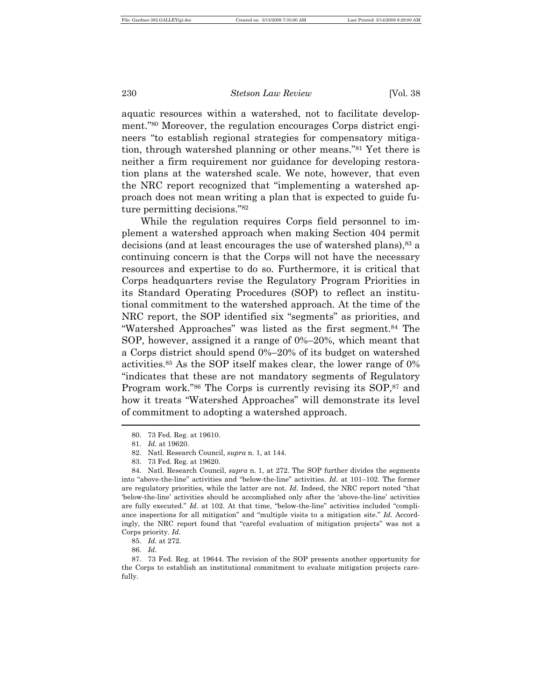aquatic resources within a watershed, not to facilitate development."80 Moreover, the regulation encourages Corps district engineers "to establish regional strategies for compensatory mitigation, through watershed planning or other means."81 Yet there is neither a firm requirement nor guidance for developing restoration plans at the watershed scale. We note, however, that even the NRC report recognized that "implementing a watershed approach does not mean writing a plan that is expected to guide future permitting decisions."<sup>82</sup>

While the regulation requires Corps field personnel to implement a watershed approach when making Section 404 permit decisions (and at least encourages the use of watershed plans),<sup>83</sup> a continuing concern is that the Corps will not have the necessary resources and expertise to do so. Furthermore, it is critical that Corps headquarters revise the Regulatory Program Priorities in its Standard Operating Procedures (SOP) to reflect an institutional commitment to the watershed approach. At the time of the NRC report, the SOP identified six "segments" as priorities, and "Watershed Approaches" was listed as the first segment.84 The SOP, however, assigned it a range of 0%–20%, which meant that a Corps district should spend 0%–20% of its budget on watershed activities.85 As the SOP itself makes clear, the lower range of 0% "indicates that these are not mandatory segments of Regulatory Program work."86 The Corps is currently revising its SOP,87 and how it treats "Watershed Approaches" will demonstrate its level of commitment to adopting a watershed approach.  $\overline{a}$ 

<sup>80.</sup> 73 Fed. Reg. at 19610.

<sup>81.</sup> *Id*. at 19620.

<sup>82.</sup> Natl. Research Council, *supra* n. 1, at 144.

<sup>83.</sup> 73 Fed. Reg. at 19620.

<sup>84.</sup> Natl. Research Council, *supra* n. 1, at 272. The SOP further divides the segments into "above-the-line" activities and "below-the-line" activities. *Id.* at 101–102. The former are regulatory priorities, while the latter are not. *Id.* Indeed, the NRC report noted "that 'below-the-line' activities should be accomplished only after the 'above-the-line' activities are fully executed." *Id.* at 102. At that time, "below-the-line" activities included "compliance inspections for all mitigation" and "multiple visits to a mitigation site." *Id.* Accordingly, the NRC report found that "careful evaluation of mitigation projects" was not a Corps priority. *Id*.

<sup>85.</sup> *Id.* at 272.

<sup>86.</sup> *Id*.

<sup>87.</sup> 73 Fed. Reg. at 19644. The revision of the SOP presents another opportunity for the Corps to establish an institutional commitment to evaluate mitigation projects carefully.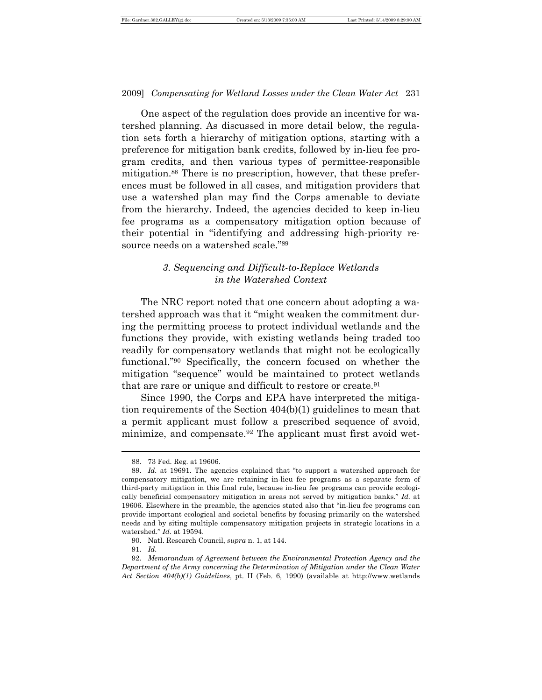One aspect of the regulation does provide an incentive for watershed planning. As discussed in more detail below, the regulation sets forth a hierarchy of mitigation options, starting with a preference for mitigation bank credits, followed by in-lieu fee program credits, and then various types of permittee-responsible mitigation.88 There is no prescription, however, that these preferences must be followed in all cases, and mitigation providers that use a watershed plan may find the Corps amenable to deviate from the hierarchy. Indeed, the agencies decided to keep in-lieu fee programs as a compensatory mitigation option because of their potential in "identifying and addressing high-priority resource needs on a watershed scale."<sup>89</sup>

# *3. Sequencing and Difficult-to-Replace Wetlands in the Watershed Context*

The NRC report noted that one concern about adopting a watershed approach was that it "might weaken the commitment during the permitting process to protect individual wetlands and the functions they provide, with existing wetlands being traded too readily for compensatory wetlands that might not be ecologically functional."90 Specifically, the concern focused on whether the mitigation "sequence" would be maintained to protect wetlands that are rare or unique and difficult to restore or create.<sup>91</sup>

Since 1990, the Corps and EPA have interpreted the mitigation requirements of the Section 404(b)(1) guidelines to mean that a permit applicant must follow a prescribed sequence of avoid, minimize, and compensate.92 The applicant must first avoid wet-

<sup>88.</sup> 73 Fed. Reg. at 19606.

<sup>89.</sup> *Id.* at 19691. The agencies explained that "to support a watershed approach for compensatory mitigation, we are retaining in-lieu fee programs as a separate form of third-party mitigation in this final rule, because in-lieu fee programs can provide ecologically beneficial compensatory mitigation in areas not served by mitigation banks." *Id.* at 19606*.* Elsewhere in the preamble, the agencies stated also that "in-lieu fee programs can provide important ecological and societal benefits by focusing primarily on the watershed needs and by siting multiple compensatory mitigation projects in strategic locations in a watershed." *Id*. at 19594.

<sup>90.</sup> Natl. Research Council, *supra* n. 1, at 144.

<sup>91.</sup> *Id.*

<sup>92.</sup> *Memorandum of Agreement between the Environmental Protection Agency and the Department of the Army concerning the Determination of Mitigation under the Clean Water Act Section 404(b)(1) Guidelines*, pt. II (Feb. 6, 1990) (available at http://www.wetlands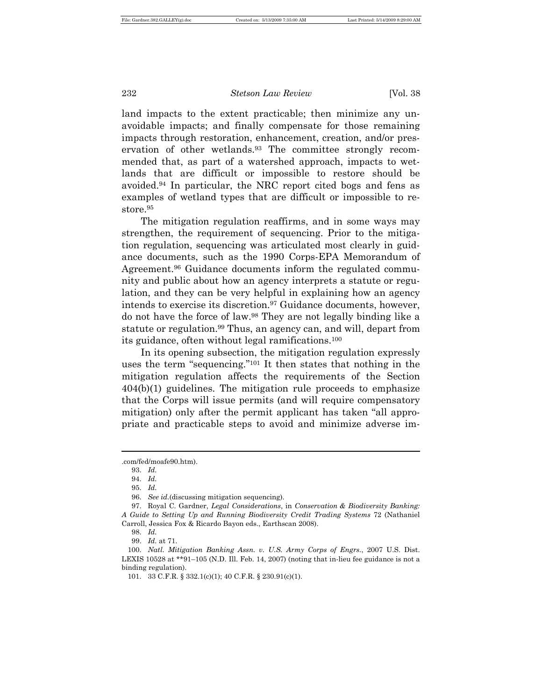land impacts to the extent practicable; then minimize any unavoidable impacts; and finally compensate for those remaining impacts through restoration, enhancement, creation, and/or preservation of other wetlands.93 The committee strongly recommended that, as part of a watershed approach, impacts to wetlands that are difficult or impossible to restore should be avoided.94 In particular, the NRC report cited bogs and fens as examples of wetland types that are difficult or impossible to restore.<sup>95</sup>

The mitigation regulation reaffirms, and in some ways may strengthen, the requirement of sequencing. Prior to the mitigation regulation, sequencing was articulated most clearly in guidance documents, such as the 1990 Corps-EPA Memorandum of Agreement.<sup>96</sup> Guidance documents inform the regulated community and public about how an agency interprets a statute or regulation, and they can be very helpful in explaining how an agency intends to exercise its discretion.97 Guidance documents, however, do not have the force of law.98 They are not legally binding like a statute or regulation.99 Thus, an agency can, and will, depart from its guidance, often without legal ramifications.<sup>100</sup>

In its opening subsection, the mitigation regulation expressly uses the term "sequencing."101 It then states that nothing in the mitigation regulation affects the requirements of the Section 404(b)(1) guidelines. The mitigation rule proceeds to emphasize that the Corps will issue permits (and will require compensatory mitigation) only after the permit applicant has taken "all appropriate and practicable steps to avoid and minimize adverse im-

<sup>.</sup>com/fed/moafe90.htm).

<sup>93.</sup> *Id.*

<sup>94.</sup> *Id.*

<sup>95.</sup> *Id.*

<sup>96.</sup> *See id.*(discussing mitigation sequencing).

<sup>97.</sup> Royal C. Gardner, *Legal Considerations*, in *Conservation & Biodiversity Banking: A Guide to Setting Up and Running Biodiversity Credit Trading Systems* 72 (Nathaniel Carroll, Jessica Fox & Ricardo Bayon eds., Earthscan 2008).

<sup>98.</sup> *Id.*

<sup>99.</sup> *Id.* at 71.

<sup>100.</sup> *Natl. Mitigation Banking Assn. v. U.S. Army Corps of Engrs.*, 2007 U.S. Dist. LEXIS 10528 at \*\*91–105 (N.D. Ill. Feb. 14, 2007) (noting that in-lieu fee guidance is not a binding regulation).

<sup>101.</sup> 33 C.F.R. § 332.1(c)(1); 40 C.F.R. § 230.91(c)(1).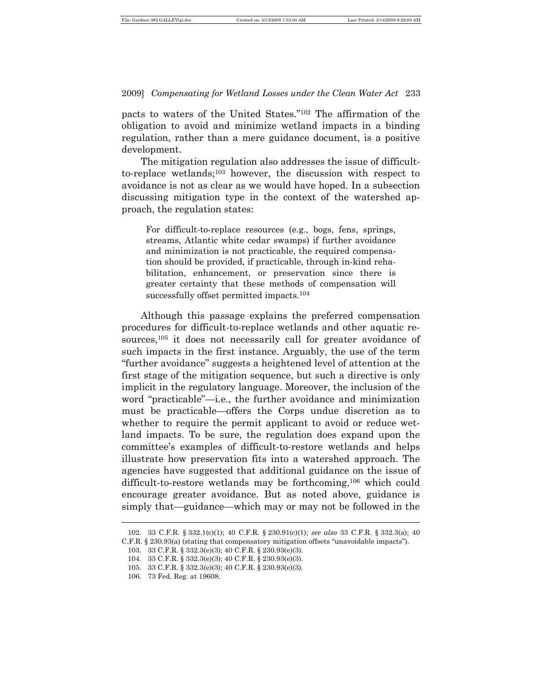pacts to waters of the United States."102 The affirmation of the obligation to avoid and minimize wetland impacts in a binding regulation, rather than a mere guidance document, is a positive development.

The mitigation regulation also addresses the issue of difficultto-replace wetlands;103 however, the discussion with respect to avoidance is not as clear as we would have hoped. In a subsection discussing mitigation type in the context of the watershed approach, the regulation states:

For difficult-to-replace resources (e.g., bogs, fens, springs, streams, Atlantic white cedar swamps) if further avoidance and minimization is not practicable, the required compensation should be provided, if practicable, through in-kind rehabilitation, enhancement, or preservation since there is greater certainty that these methods of compensation will successfully offset permitted impacts.<sup>104</sup>

Although this passage explains the preferred compensation procedures for difficult-to-replace wetlands and other aquatic resources,<sup>105</sup> it does not necessarily call for greater avoidance of such impacts in the first instance. Arguably, the use of the term "further avoidance" suggests a heightened level of attention at the first stage of the mitigation sequence, but such a directive is only implicit in the regulatory language. Moreover, the inclusion of the word "practicable"—i.e., the further avoidance and minimization must be practicable—offers the Corps undue discretion as to whether to require the permit applicant to avoid or reduce wetland impacts. To be sure, the regulation does expand upon the committee's examples of difficult-to-restore wetlands and helps illustrate how preservation fits into a watershed approach. The agencies have suggested that additional guidance on the issue of difficult-to-restore wetlands may be forthcoming,106 which could encourage greater avoidance. But as noted above, guidance is simply that—guidance—which may or may not be followed in the

<sup>102.</sup> 33 C.F.R. § 332.1(c)(1); 40 C.F.R. § 230.91(c)(1); *see also* 33 C.F.R. § 332.3(a); 40 C.F.R. § 230.93(a) (stating that compensatory mitigation offsets "unavoidable impacts").

<sup>103.</sup> 33 C.F.R. § 332.3(e)(3); 40 C.F.R. § 230.93(e)(3).

<sup>104.</sup> 33 C.F.R. § 332.3(e)(3); 40 C.F.R. § 230.93(e)(3).

<sup>105.</sup> 33 C.F.R. § 332.3(e)(3); 40 C.F.R. § 230.93(e)(3).

<sup>106.</sup> 73 Fed. Reg. at 19608.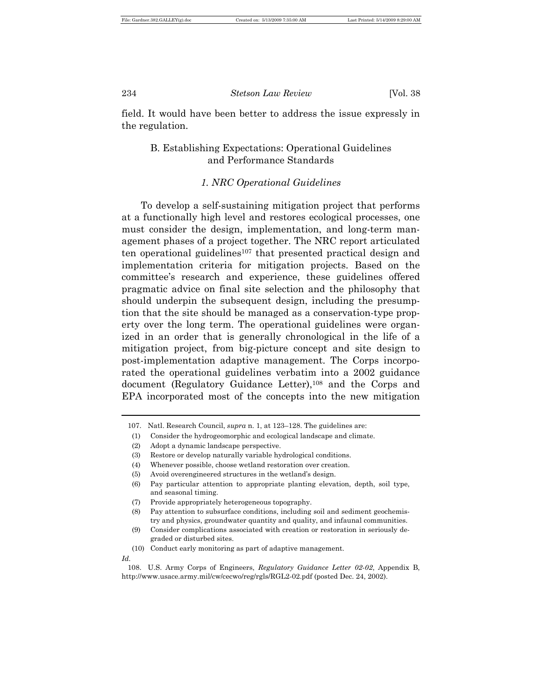field. It would have been better to address the issue expressly in the regulation.

# B. Establishing Expectations: Operational Guidelines and Performance Standards

#### *1. NRC Operational Guidelines*

To develop a self-sustaining mitigation project that performs at a functionally high level and restores ecological processes, one must consider the design, implementation, and long-term management phases of a project together. The NRC report articulated ten operational guidelines<sup>107</sup> that presented practical design and implementation criteria for mitigation projects. Based on the committee's research and experience, these guidelines offered pragmatic advice on final site selection and the philosophy that should underpin the subsequent design, including the presumption that the site should be managed as a conservation-type property over the long term. The operational guidelines were organized in an order that is generally chronological in the life of a mitigation project, from big-picture concept and site design to post-implementation adaptive management. The Corps incorporated the operational guidelines verbatim into a 2002 guidance document (Regulatory Guidance Letter),<sup>108</sup> and the Corps and EPA incorporated most of the concepts into the new mitigation

- (4) Whenever possible, choose wetland restoration over creation.
- (5) Avoid overengineered structures in the wetland's design.
- (6) Pay particular attention to appropriate planting elevation, depth, soil type, and seasonal timing.
- (7) Provide appropriately heterogeneous topography.

*Id.* 

<sup>107.</sup> Natl. Research Council, *supra* n. 1, at 123–128. The guidelines are:

<sup>(1)</sup> Consider the hydrogeomorphic and ecological landscape and climate.

<sup>(2)</sup> Adopt a dynamic landscape perspective.

<sup>(3)</sup> Restore or develop naturally variable hydrological conditions.

<sup>(8)</sup> Pay attention to subsurface conditions, including soil and sediment geochemistry and physics, groundwater quantity and quality, and infaunal communities.

<sup>(9)</sup> Consider complications associated with creation or restoration in seriously degraded or disturbed sites.

<sup>(10)</sup> Conduct early monitoring as part of adaptive management.

<sup>108.</sup> U.S. Army Corps of Engineers, *Regulatory Guidance Letter 02-02*, Appendix B, http://www.usace.army.mil/cw/cecwo/reg/rgls/RGL2-02.pdf (posted Dec. 24, 2002).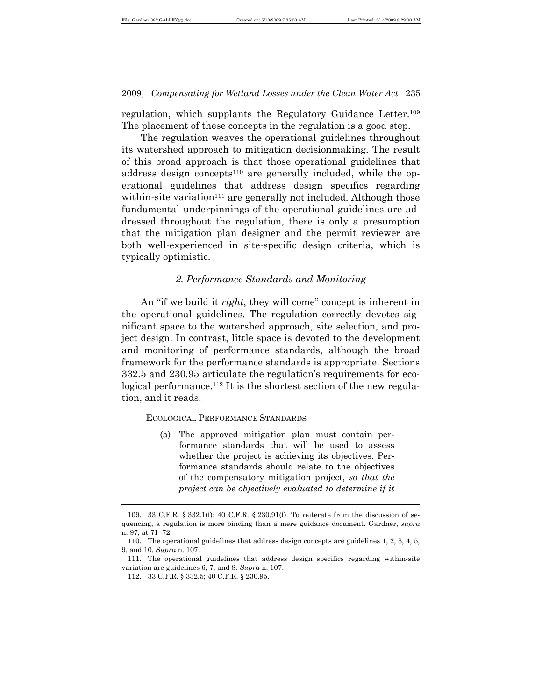regulation, which supplants the Regulatory Guidance Letter.<sup>109</sup> The placement of these concepts in the regulation is a good step.

The regulation weaves the operational guidelines throughout its watershed approach to mitigation decisionmaking. The result of this broad approach is that those operational guidelines that address design concepts<sup>110</sup> are generally included, while the operational guidelines that address design specifics regarding within-site variation<sup>111</sup> are generally not included. Although those fundamental underpinnings of the operational guidelines are addressed throughout the regulation, there is only a presumption that the mitigation plan designer and the permit reviewer are both well-experienced in site-specific design criteria, which is typically optimistic.

#### *2. Performance Standards and Monitoring*

An "if we build it *right*, they will come" concept is inherent in the operational guidelines. The regulation correctly devotes significant space to the watershed approach, site selection, and project design. In contrast, little space is devoted to the development and monitoring of performance standards, although the broad framework for the performance standards is appropriate. Sections 332.5 and 230.95 articulate the regulation's requirements for ecological performance.<sup>112</sup> It is the shortest section of the new regulation, and it reads:

#### ECOLOGICAL PERFORMANCE STANDARDS

(a) The approved mitigation plan must contain performance standards that will be used to assess whether the project is achieving its objectives. Performance standards should relate to the objectives of the compensatory mitigation project, *so that the project can be objectively evaluated to determine if it* 

<sup>109.</sup> 33 C.F.R. § 332.1(f); 40 C.F.R. § 230.91(f). To reiterate from the discussion of sequencing, a regulation is more binding than a mere guidance document. Gardner, *supra* n. 97, at 71–72.

<sup>110.</sup> The operational guidelines that address design concepts are guidelines 1, 2, 3, 4, 5, 9, and 10. *Supra* n. 107.

<sup>111.</sup> The operational guidelines that address design specifics regarding within-site variation are guidelines 6, 7, and 8. *Supra* n. 107.

<sup>112.</sup> 33 C.F.R. § 332.5; 40 C.F.R. § 230.95.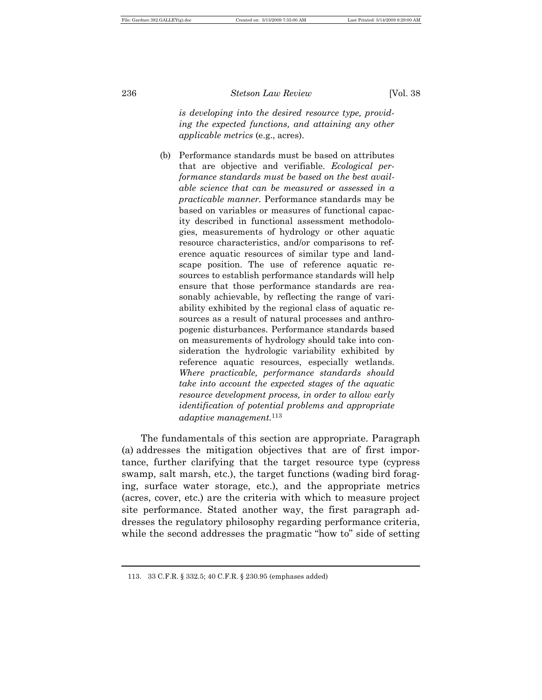*is developing into the desired resource type, providing the expected functions, and attaining any other applicable metrics* (e.g., acres).

(b) Performance standards must be based on attributes that are objective and verifiable. *Ecological performance standards must be based on the best available science that can be measured or assessed in a practicable manner.* Performance standards may be based on variables or measures of functional capacity described in functional assessment methodologies, measurements of hydrology or other aquatic resource characteristics, and/or comparisons to reference aquatic resources of similar type and landscape position. The use of reference aquatic resources to establish performance standards will help ensure that those performance standards are reasonably achievable, by reflecting the range of variability exhibited by the regional class of aquatic resources as a result of natural processes and anthropogenic disturbances. Performance standards based on measurements of hydrology should take into consideration the hydrologic variability exhibited by reference aquatic resources, especially wetlands. *Where practicable, performance standards should take into account the expected stages of the aquatic resource development process, in order to allow early identification of potential problems and appropriate adaptive management.*<sup>113</sup>

The fundamentals of this section are appropriate. Paragraph (a) addresses the mitigation objectives that are of first importance, further clarifying that the target resource type (cypress swamp, salt marsh, etc.), the target functions (wading bird foraging, surface water storage, etc.), and the appropriate metrics (acres, cover, etc.) are the criteria with which to measure project site performance. Stated another way, the first paragraph addresses the regulatory philosophy regarding performance criteria, while the second addresses the pragmatic "how to" side of setting

<sup>113.</sup> 33 C.F.R. § 332.5; 40 C.F.R. § 230.95 (emphases added)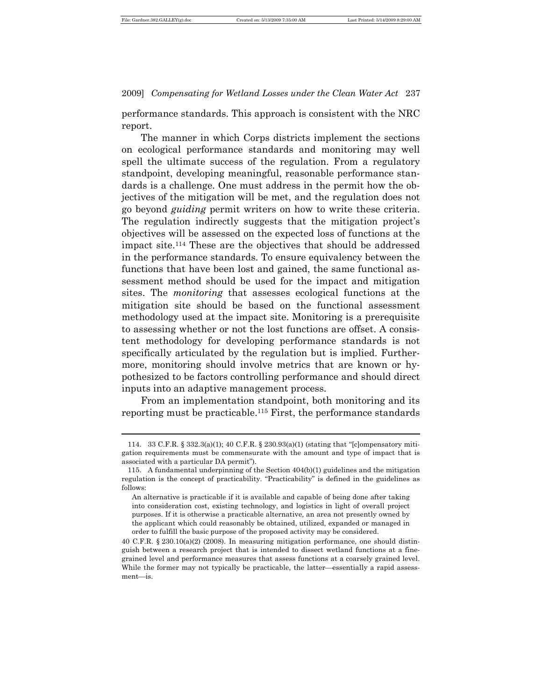$\overline{a}$ 

2009] *Compensating for Wetland Losses under the Clean Water Act* 237

performance standards. This approach is consistent with the NRC report.

The manner in which Corps districts implement the sections on ecological performance standards and monitoring may well spell the ultimate success of the regulation. From a regulatory standpoint, developing meaningful, reasonable performance standards is a challenge. One must address in the permit how the objectives of the mitigation will be met, and the regulation does not go beyond *guiding* permit writers on how to write these criteria. The regulation indirectly suggests that the mitigation project's objectives will be assessed on the expected loss of functions at the impact site.114 These are the objectives that should be addressed in the performance standards. To ensure equivalency between the functions that have been lost and gained, the same functional assessment method should be used for the impact and mitigation sites. The *monitoring* that assesses ecological functions at the mitigation site should be based on the functional assessment methodology used at the impact site. Monitoring is a prerequisite to assessing whether or not the lost functions are offset. A consistent methodology for developing performance standards is not specifically articulated by the regulation but is implied. Furthermore, monitoring should involve metrics that are known or hypothesized to be factors controlling performance and should direct inputs into an adaptive management process.

From an implementation standpoint, both monitoring and its reporting must be practicable.115 First, the performance standards

<sup>114.</sup> 33 C.F.R. § 332.3(a)(1); 40 C.F.R. § 230.93(a)(1) (stating that "[c]ompensatory mitigation requirements must be commensurate with the amount and type of impact that is associated with a particular DA permit").

<sup>115.</sup> A fundamental underpinning of the Section 404(b)(1) guidelines and the mitigation regulation is the concept of practicability. "Practicability" is defined in the guidelines as follows:

An alternative is practicable if it is available and capable of being done after taking into consideration cost, existing technology, and logistics in light of overall project purposes. If it is otherwise a practicable alternative, an area not presently owned by the applicant which could reasonably be obtained, utilized, expanded or managed in order to fulfill the basic purpose of the proposed activity may be considered.

<sup>40</sup> C.F.R. § 230.10(a)(2) (2008). In measuring mitigation performance, one should distinguish between a research project that is intended to dissect wetland functions at a finegrained level and performance measures that assess functions at a coarsely grained level. While the former may not typically be practicable, the latter—essentially a rapid assessment-is.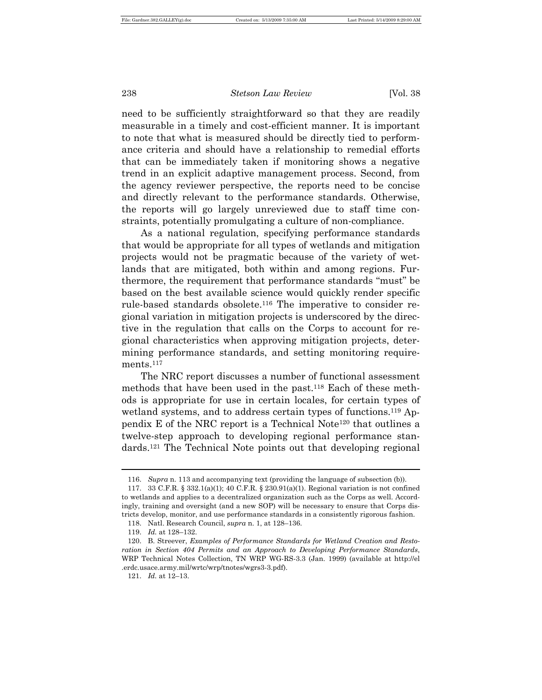need to be sufficiently straightforward so that they are readily measurable in a timely and cost-efficient manner. It is important to note that what is measured should be directly tied to performance criteria and should have a relationship to remedial efforts that can be immediately taken if monitoring shows a negative trend in an explicit adaptive management process. Second, from the agency reviewer perspective, the reports need to be concise and directly relevant to the performance standards. Otherwise, the reports will go largely unreviewed due to staff time constraints, potentially promulgating a culture of non-compliance.

As a national regulation, specifying performance standards that would be appropriate for all types of wetlands and mitigation projects would not be pragmatic because of the variety of wetlands that are mitigated, both within and among regions. Furthermore, the requirement that performance standards "must" be based on the best available science would quickly render specific rule-based standards obsolete.116 The imperative to consider regional variation in mitigation projects is underscored by the directive in the regulation that calls on the Corps to account for regional characteristics when approving mitigation projects, determining performance standards, and setting monitoring requirements.<sup>117</sup>

The NRC report discusses a number of functional assessment methods that have been used in the past.118 Each of these methods is appropriate for use in certain locales, for certain types of wetland systems, and to address certain types of functions.<sup>119</sup> Appendix E of the NRC report is a Technical Note120 that outlines a twelve-step approach to developing regional performance standards.121 The Technical Note points out that developing regional

<sup>116.</sup> *Supra* n. 113 and accompanying text (providing the language of subsection (b)).

<sup>117.</sup> 33 C.F.R. § 332.1(a)(1); 40 C.F.R. § 230.91(a)(1). Regional variation is not confined to wetlands and applies to a decentralized organization such as the Corps as well. Accordingly, training and oversight (and a new SOP) will be necessary to ensure that Corps districts develop, monitor, and use performance standards in a consistently rigorous fashion.

<sup>118.</sup> Natl. Research Council, *supra* n. 1, at 128–136.

<sup>119.</sup> *Id.* at 128–132.

<sup>120.</sup> B. Streever, *Examples of Performance Standards for Wetland Creation and Restoration in Section 404 Permits and an Approach to Developing Performance Standards*, WRP Technical Notes Collection, TN WRP WG-RS-3.3 (Jan. 1999) (available at http://el .erdc.usace.army.mil/wrtc/wrp/tnotes/wgrs3-3.pdf).

<sup>121.</sup> *Id.* at 12–13.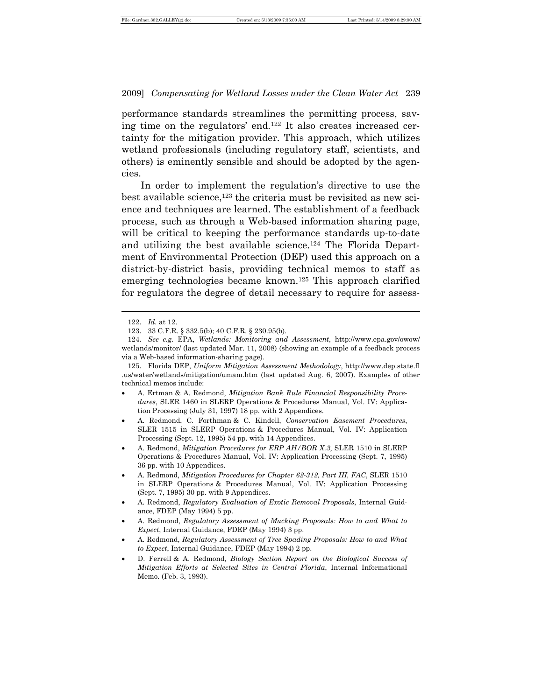performance standards streamlines the permitting process, saving time on the regulators' end.122 It also creates increased certainty for the mitigation provider. This approach, which utilizes wetland professionals (including regulatory staff, scientists, and others) is eminently sensible and should be adopted by the agencies.

In order to implement the regulation's directive to use the best available science,<sup>123</sup> the criteria must be revisited as new science and techniques are learned. The establishment of a feedback process, such as through a Web-based information sharing page, will be critical to keeping the performance standards up-to-date and utilizing the best available science.124 The Florida Department of Environmental Protection (DEP) used this approach on a district-by-district basis, providing technical memos to staff as emerging technologies became known.125 This approach clarified for regulators the degree of detail necessary to require for assess-

<sup>122.</sup> *Id.* at 12.

<sup>123.</sup> 33 C.F.R. § 332.5(b); 40 C.F.R. § 230.95(b).

<sup>124.</sup> *See e.g.* EPA, *Wetlands: Monitoring and Assessment*, http://www.epa.gov/owow/ wetlands/monitor/ (last updated Mar. 11, 2008) (showing an example of a feedback process via a Web-based information-sharing page).

<sup>125.</sup> Florida DEP, *Uniform Mitigation Assessment Methodology*, http://www.dep.state.fl .us/water/wetlands/mitigation/umam.htm (last updated Aug. 6, 2007). Examples of other technical memos include:

<sup>•</sup> A. Ertman & A. Redmond, *Mitigation Bank Rule Financial Responsibility Procedures*, SLER 1460 in SLERP Operations & Procedures Manual, Vol. IV: Application Processing (July 31, 1997) 18 pp. with 2 Appendices.

<sup>•</sup> A. Redmond, C. Forthman & C. Kindell, *Conservation Easement Procedures*, SLER 1515 in SLERP Operations & Procedures Manual, Vol. IV: Application Processing (Sept. 12, 1995) 54 pp. with 14 Appendices.

<sup>•</sup> A. Redmond, *Mitigation Procedures for ERP AH/BOR X.3*, SLER 1510 in SLERP Operations & Procedures Manual, Vol. IV: Application Processing (Sept. 7, 1995) 36 pp. with 10 Appendices.

<sup>•</sup> A. Redmond, *Mitigation Procedures for Chapter 62-312, Part III, FAC*, SLER 1510 in SLERP Operations & Procedures Manual, Vol. IV: Application Processing (Sept. 7, 1995) 30 pp. with 9 Appendices.

<sup>•</sup> A. Redmond, *Regulatory Evaluation of Exotic Removal Proposals*, Internal Guidance, FDEP (May 1994) 5 pp.

<sup>•</sup> A. Redmond, *Regulatory Assessment of Mucking Proposals: How to and What to Expect*, Internal Guidance, FDEP (May 1994) 3 pp.

<sup>•</sup> A. Redmond, *Regulatory Assessment of Tree Spading Proposals: How to and What to Expect*, Internal Guidance, FDEP (May 1994) 2 pp.

<sup>•</sup> D. Ferrell & A. Redmond, *Biology Section Report on the Biological Success of Mitigation Efforts at Selected Sites in Central Florida*, Internal Informational Memo. (Feb. 3, 1993).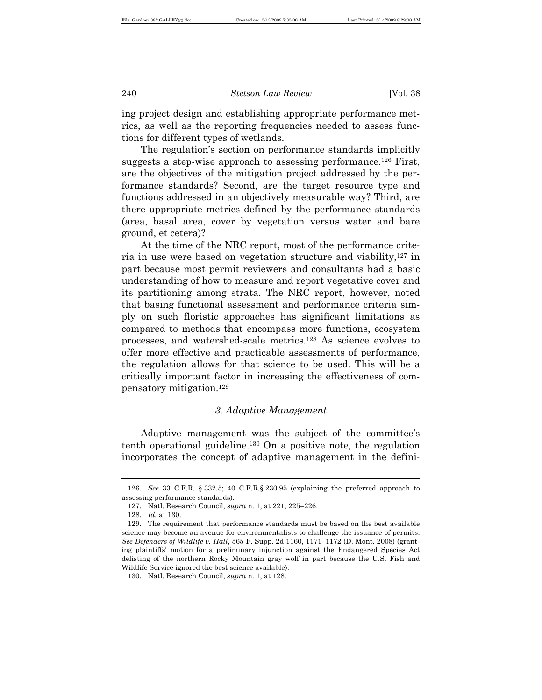ing project design and establishing appropriate performance metrics, as well as the reporting frequencies needed to assess functions for different types of wetlands.

The regulation's section on performance standards implicitly suggests a step-wise approach to assessing performance.<sup>126</sup> First, are the objectives of the mitigation project addressed by the performance standards? Second, are the target resource type and functions addressed in an objectively measurable way? Third, are there appropriate metrics defined by the performance standards (area, basal area, cover by vegetation versus water and bare ground, et cetera)?

At the time of the NRC report, most of the performance criteria in use were based on vegetation structure and viability,127 in part because most permit reviewers and consultants had a basic understanding of how to measure and report vegetative cover and its partitioning among strata. The NRC report, however, noted that basing functional assessment and performance criteria simply on such floristic approaches has significant limitations as compared to methods that encompass more functions, ecosystem processes, and watershed-scale metrics.128 As science evolves to offer more effective and practicable assessments of performance, the regulation allows for that science to be used. This will be a critically important factor in increasing the effectiveness of compensatory mitigation.<sup>129</sup>

#### *3. Adaptive Management*

Adaptive management was the subject of the committee's tenth operational guideline.130 On a positive note, the regulation incorporates the concept of adaptive management in the defini-

<sup>126.</sup> *See* 33 C.F.R. § 332.5; 40 C.F.R.§ 230.95 (explaining the preferred approach to assessing performance standards).

<sup>127.</sup> Natl. Research Council, *supra* n. 1, at 221, 225–226.

<sup>128.</sup> *Id.* at 130.

<sup>129.</sup> The requirement that performance standards must be based on the best available science may become an avenue for environmentalists to challenge the issuance of permits. *See Defenders of Wildlife v. Hall*, 565 F. Supp. 2d 1160, 1171–1172 (D. Mont. 2008) (granting plaintiffs' motion for a preliminary injunction against the Endangered Species Act delisting of the northern Rocky Mountain gray wolf in part because the U.S. Fish and Wildlife Service ignored the best science available).

<sup>130.</sup> Natl. Research Council, *supra* n. 1, at 128.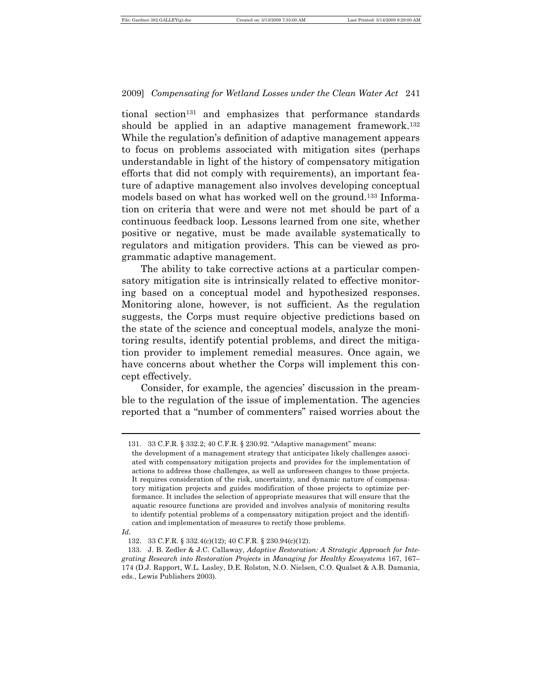tional section131 and emphasizes that performance standards should be applied in an adaptive management framework.<sup>132</sup> While the regulation's definition of adaptive management appears to focus on problems associated with mitigation sites (perhaps understandable in light of the history of compensatory mitigation efforts that did not comply with requirements), an important feature of adaptive management also involves developing conceptual models based on what has worked well on the ground.133 Information on criteria that were and were not met should be part of a continuous feedback loop. Lessons learned from one site, whether positive or negative, must be made available systematically to regulators and mitigation providers. This can be viewed as programmatic adaptive management.

The ability to take corrective actions at a particular compensatory mitigation site is intrinsically related to effective monitoring based on a conceptual model and hypothesized responses. Monitoring alone, however, is not sufficient. As the regulation suggests, the Corps must require objective predictions based on the state of the science and conceptual models, analyze the monitoring results, identify potential problems, and direct the mitigation provider to implement remedial measures. Once again, we have concerns about whether the Corps will implement this concept effectively.

Consider, for example, the agencies' discussion in the preamble to the regulation of the issue of implementation. The agencies reported that a "number of commenters" raised worries about the

<sup>131.</sup> 33 C.F.R. § 332.2; 40 C.F.R. § 230.92. "Adaptive management" means:

the development of a management strategy that anticipates likely challenges associated with compensatory mitigation projects and provides for the implementation of actions to address those challenges, as well as unforeseen changes to those projects. It requires consideration of the risk, uncertainty, and dynamic nature of compensatory mitigation projects and guides modification of those projects to optimize performance. It includes the selection of appropriate measures that will ensure that the aquatic resource functions are provided and involves analysis of monitoring results to identify potential problems of a compensatory mitigation project and the identification and implementation of measures to rectify those problems.

*Id.* 

<sup>132.</sup> 33 C.F.R. § 332.4(c)(12); 40 C.F.R. § 230.94(c)(12).

<sup>133.</sup> J. B. Zedler & J.C. Callaway, *Adaptive Restoration: A Strategic Approach for Integrating Research into Restoration Projects* in *Managing for Healthy Ecosystems* 167, 167– 174 (D.J. Rapport, W.L. Lasley, D.E. Rolston, N.O. Nielsen, C.O. Qualset & A.B. Damania, eds., Lewis Publishers 2003).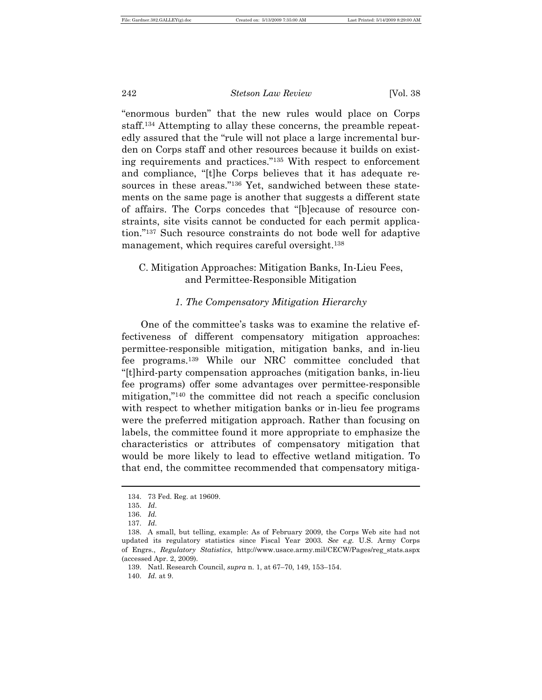"enormous burden" that the new rules would place on Corps staff.134 Attempting to allay these concerns, the preamble repeatedly assured that the "rule will not place a large incremental burden on Corps staff and other resources because it builds on existing requirements and practices."135 With respect to enforcement and compliance, "[t]he Corps believes that it has adequate resources in these areas."136 Yet, sandwiched between these statements on the same page is another that suggests a different state of affairs. The Corps concedes that "[b]ecause of resource constraints, site visits cannot be conducted for each permit application."137 Such resource constraints do not bode well for adaptive management, which requires careful oversight.<sup>138</sup>

# C. Mitigation Approaches: Mitigation Banks, In-Lieu Fees, and Permittee-Responsible Mitigation

#### *1. The Compensatory Mitigation Hierarchy*

One of the committee's tasks was to examine the relative effectiveness of different compensatory mitigation approaches: permittee-responsible mitigation, mitigation banks, and in-lieu fee programs.139 While our NRC committee concluded that "[t]hird-party compensation approaches (mitigation banks, in-lieu fee programs) offer some advantages over permittee-responsible mitigation,"140 the committee did not reach a specific conclusion with respect to whether mitigation banks or in-lieu fee programs were the preferred mitigation approach. Rather than focusing on labels, the committee found it more appropriate to emphasize the characteristics or attributes of compensatory mitigation that would be more likely to lead to effective wetland mitigation. To that end, the committee recommended that compensatory mitiga-

 $\overline{a}$ 

140. *Id.* at 9.

<sup>134.</sup> 73 Fed. Reg. at 19609.

<sup>135.</sup> *Id*.

<sup>136.</sup> *Id.* 

<sup>137.</sup> *Id*.

<sup>138.</sup> A small, but telling, example: As of February 2009, the Corps Web site had not updated its regulatory statistics since Fiscal Year 2003. *See e.g.* U.S. Army Corps of Engrs., *Regulatory Statistics*, http://www.usace.army.mil/CECW/Pages/reg\_stats.aspx (accessed Apr. 2, 2009).

<sup>139.</sup> Natl. Research Council, *supra* n. 1, at 67–70, 149, 153–154.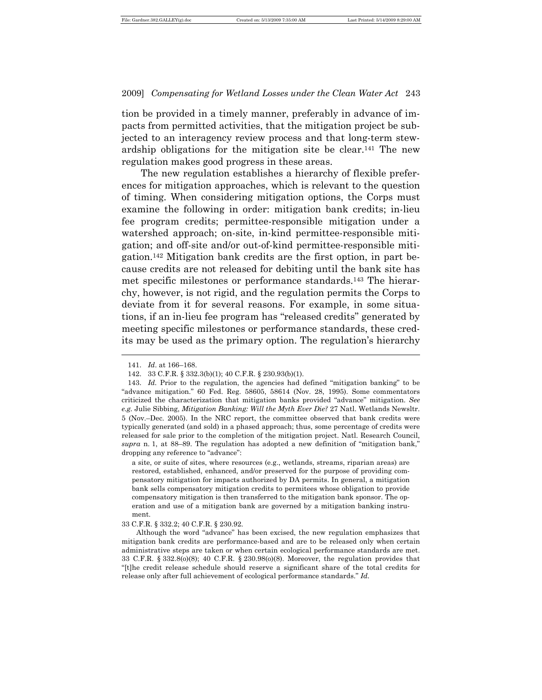tion be provided in a timely manner, preferably in advance of impacts from permitted activities, that the mitigation project be subjected to an interagency review process and that long-term stewardship obligations for the mitigation site be clear.141 The new regulation makes good progress in these areas.

The new regulation establishes a hierarchy of flexible preferences for mitigation approaches, which is relevant to the question of timing. When considering mitigation options, the Corps must examine the following in order: mitigation bank credits; in-lieu fee program credits; permittee-responsible mitigation under a watershed approach; on-site, in-kind permittee-responsible mitigation; and off-site and/or out-of-kind permittee-responsible mitigation.142 Mitigation bank credits are the first option, in part because credits are not released for debiting until the bank site has met specific milestones or performance standards.143 The hierarchy, however, is not rigid, and the regulation permits the Corps to deviate from it for several reasons. For example, in some situations, if an in-lieu fee program has "released credits" generated by meeting specific milestones or performance standards, these credits may be used as the primary option. The regulation's hierarchy  $\overline{a}$ 

<sup>141.</sup> *Id*. at 166–168.

<sup>142.</sup> 33 C.F.R. § 332.3(b)(1); 40 C.F.R. § 230.93(b)(1).

<sup>143.</sup> *Id.* Prior to the regulation, the agencies had defined "mitigation banking" to be "advance mitigation." 60 Fed. Reg. 58605, 58614 (Nov. 28, 1995). Some commentators criticized the characterization that mitigation banks provided "advance" mitigation. *See e.g.* Julie Sibbing, *Mitigation Banking: Will the Myth Ever Die?* 27 Natl. Wetlands Newsltr. 5 (Nov.–Dec. 2005). In the NRC report, the committee observed that bank credits were typically generated (and sold) in a phased approach; thus, some percentage of credits were released for sale prior to the completion of the mitigation project. Natl. Research Council, *supra* n. 1, at 88–89. The regulation has adopted a new definition of "mitigation bank," dropping any reference to "advance":

a site, or suite of sites, where resources (e.g., wetlands, streams, riparian areas) are restored, established, enhanced, and/or preserved for the purpose of providing compensatory mitigation for impacts authorized by DA permits. In general, a mitigation bank sells compensatory mitigation credits to permitees whose obligation to provide compensatory mitigation is then transferred to the mitigation bank sponsor. The operation and use of a mitigation bank are governed by a mitigation banking instrument.

<sup>33</sup> C.F.R. § 332.2; 40 C.F.R. § 230.92.

Although the word "advance" has been excised, the new regulation emphasizes that mitigation bank credits are performance-based and are to be released only when certain administrative steps are taken or when certain ecological performance standards are met. 33 C.F.R. § 332.8(o)(8); 40 C.F.R. § 230.98(o)(8). Moreover, the regulation provides that "[t]he credit release schedule should reserve a significant share of the total credits for release only after full achievement of ecological performance standards." *Id.*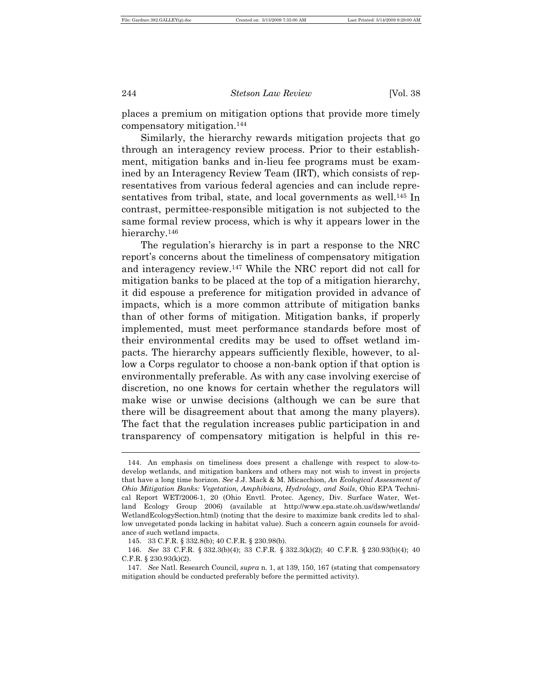places a premium on mitigation options that provide more timely compensatory mitigation.<sup>144</sup>

Similarly, the hierarchy rewards mitigation projects that go through an interagency review process. Prior to their establishment, mitigation banks and in-lieu fee programs must be examined by an Interagency Review Team (IRT), which consists of representatives from various federal agencies and can include representatives from tribal, state, and local governments as well.<sup>145</sup> In contrast, permittee-responsible mitigation is not subjected to the same formal review process, which is why it appears lower in the hierarchy.<sup>146</sup>

The regulation's hierarchy is in part a response to the NRC report's concerns about the timeliness of compensatory mitigation and interagency review.147 While the NRC report did not call for mitigation banks to be placed at the top of a mitigation hierarchy, it did espouse a preference for mitigation provided in advance of impacts, which is a more common attribute of mitigation banks than of other forms of mitigation. Mitigation banks, if properly implemented, must meet performance standards before most of their environmental credits may be used to offset wetland impacts. The hierarchy appears sufficiently flexible, however, to allow a Corps regulator to choose a non-bank option if that option is environmentally preferable. As with any case involving exercise of discretion, no one knows for certain whether the regulators will make wise or unwise decisions (although we can be sure that there will be disagreement about that among the many players). The fact that the regulation increases public participation in and transparency of compensatory mitigation is helpful in this re-

<sup>144.</sup> An emphasis on timeliness does present a challenge with respect to slow-todevelop wetlands, and mitigation bankers and others may not wish to invest in projects that have a long time horizon. *See* J.J. Mack & M. Micacchion, *An Ecological Assessment of Ohio Mitigation Banks: Vegetation, Amphibians, Hydrology, and Soils*, Ohio EPA Technical Report WET/2006-1, 20 (Ohio Envtl. Protec. Agency, Div. Surface Water, Wetland Ecology Group 2006) (available at http://www.epa.state.oh.us/dsw/wetlands/ WetlandEcologySection.html) (noting that the desire to maximize bank credits led to shallow unvegetated ponds lacking in habitat value). Such a concern again counsels for avoidance of such wetland impacts.

<sup>145.</sup> 33 C.F.R. § 332.8(b); 40 C.F.R. § 230.98(b).

<sup>146.</sup> *See* 33 C.F.R. § 332.3(b)(4); 33 C.F.R. § 332.3(k)(2); 40 C.F.R. § 230.93(b)(4); 40 C.F.R. § 230.93(k)(2).

<sup>147.</sup> *See* Natl. Research Council, *supra* n. 1, at 139, 150, 167 (stating that compensatory mitigation should be conducted preferably before the permitted activity).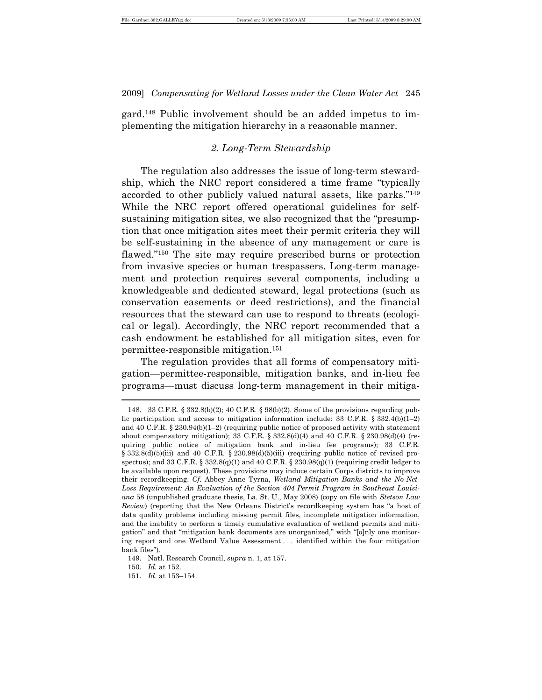gard.148 Public involvement should be an added impetus to implementing the mitigation hierarchy in a reasonable manner.

#### *2. Long-Term Stewardship*

The regulation also addresses the issue of long-term stewardship, which the NRC report considered a time frame "typically accorded to other publicly valued natural assets, like parks."<sup>149</sup> While the NRC report offered operational guidelines for selfsustaining mitigation sites, we also recognized that the "presumption that once mitigation sites meet their permit criteria they will be self-sustaining in the absence of any management or care is flawed."<sup>150</sup> The site may require prescribed burns or protection from invasive species or human trespassers. Long-term management and protection requires several components, including a knowledgeable and dedicated steward, legal protections (such as conservation easements or deed restrictions), and the financial resources that the steward can use to respond to threats (ecological or legal). Accordingly, the NRC report recommended that a cash endowment be established for all mitigation sites, even for permittee-responsible mitigation.<sup>151</sup>

The regulation provides that all forms of compensatory mitigation—permittee-responsible, mitigation banks, and in-lieu fee programs—must discuss long-term management in their mitiga-  $\overline{\phantom{a}}$ 

<sup>148.</sup> 33 C.F.R. § 332.8(b)(2); 40 C.F.R. § 98(b)(2). Some of the provisions regarding public participation and access to mitigation information include: 33 C.F.R.  $\S 332.4(b)(1-2)$ and 40 C.F.R. § 230.94(b)(1-2) (requiring public notice of proposed activity with statement about compensatory mitigation); 33 C.F.R. § 332.8(d)(4) and 40 C.F.R. § 230.98(d)(4) (requiring public notice of mitigation bank and in-lieu fee programs); 33 C.F.R. § 332.8(d)(5)(iii) and 40 C.F.R. § 230.98(d)(5)(iii) (requiring public notice of revised prospectus); and 33 C.F.R. § 332.8(q)(1) and 40 C.F.R. § 230.98(q)(1) (requiring credit ledger to be available upon request). These provisions may induce certain Corps districts to improve their recordkeeping. *Cf.* Abbey Anne Tyrna, *Wetland Mitigation Banks and the No-Net-Loss Requirement: An Evaluation of the Section 404 Permit Program in Southeast Louisiana* 58 (unpublished graduate thesis, La. St. U., May 2008) (copy on file with *Stetson Law Review*) (reporting that the New Orleans District's recordkeeping system has "a host of data quality problems including missing permit files, incomplete mitigation information, and the inability to perform a timely cumulative evaluation of wetland permits and mitigation" and that "mitigation bank documents are unorganized," with "[o]nly one monitoring report and one Wetland Value Assessment . . . identified within the four mitigation bank files").

<sup>149.</sup> Natl. Research Council, *supra* n. 1, at 157.

<sup>150.</sup> *Id.* at 152.

<sup>151.</sup> *Id*. at 153–154.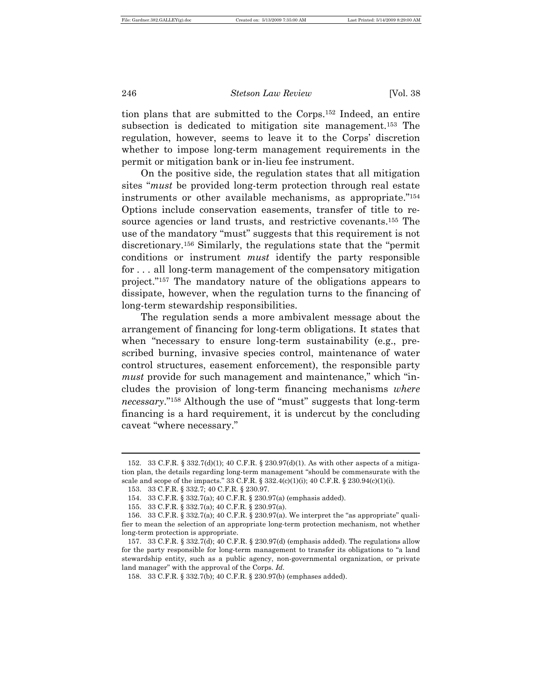tion plans that are submitted to the Corps.152 Indeed, an entire subsection is dedicated to mitigation site management.<sup>153</sup> The regulation, however, seems to leave it to the Corps' discretion whether to impose long-term management requirements in the permit or mitigation bank or in-lieu fee instrument.

On the positive side, the regulation states that all mitigation sites "*must* be provided long-term protection through real estate instruments or other available mechanisms, as appropriate."<sup>154</sup> Options include conservation easements, transfer of title to resource agencies or land trusts, and restrictive covenants.155 The use of the mandatory "must" suggests that this requirement is not discretionary.156 Similarly, the regulations state that the "permit conditions or instrument *must* identify the party responsible for . . . all long-term management of the compensatory mitigation project."157 The mandatory nature of the obligations appears to dissipate, however, when the regulation turns to the financing of long-term stewardship responsibilities.

The regulation sends a more ambivalent message about the arrangement of financing for long-term obligations. It states that when "necessary to ensure long-term sustainability (e.g., prescribed burning, invasive species control, maintenance of water control structures, easement enforcement), the responsible party *must* provide for such management and maintenance," which "includes the provision of long-term financing mechanisms *where necessary*."158 Although the use of "must" suggests that long-term financing is a hard requirement, it is undercut by the concluding caveat "where necessary."

<sup>152.</sup> 33 C.F.R. § 332.7(d)(1); 40 C.F.R. § 230.97(d)(1). As with other aspects of a mitigation plan, the details regarding long-term management "should be commensurate with the scale and scope of the impacts." 33 C.F.R. § 332.4(c)(1)(i); 40 C.F.R. § 230.94(c)(1)(i).

<sup>153.</sup> 33 C.F.R. § 332.7; 40 C.F.R. § 230.97.

<sup>154.</sup> 33 C.F.R. § 332.7(a); 40 C.F.R. § 230.97(a) (emphasis added).

<sup>155.</sup> 33 C.F.R. § 332.7(a); 40 C.F.R. § 230.97(a).

<sup>156.</sup> 33 C.F.R. § 332.7(a); 40 C.F.R. § 230.97(a). We interpret the "as appropriate" qualifier to mean the selection of an appropriate long-term protection mechanism, not whether long-term protection is appropriate.

<sup>157.</sup> 33 C.F.R. § 332.7(d); 40 C.F.R. § 230.97(d) (emphasis added). The regulations allow for the party responsible for long-term management to transfer its obligations to "a land stewardship entity, such as a public agency, non-governmental organization, or private land manager" with the approval of the Corps. *Id.*

<sup>158.</sup> 33 C.F.R. § 332.7(b); 40 C.F.R. § 230.97(b) (emphases added).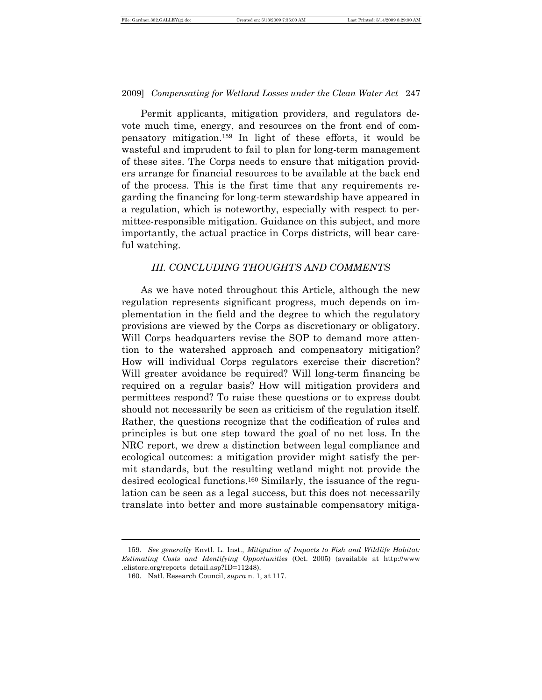Permit applicants, mitigation providers, and regulators devote much time, energy, and resources on the front end of compensatory mitigation.159 In light of these efforts, it would be wasteful and imprudent to fail to plan for long-term management of these sites. The Corps needs to ensure that mitigation providers arrange for financial resources to be available at the back end of the process. This is the first time that any requirements regarding the financing for long-term stewardship have appeared in a regulation, which is noteworthy, especially with respect to permittee-responsible mitigation. Guidance on this subject, and more importantly, the actual practice in Corps districts, will bear careful watching.

#### *III. CONCLUDING THOUGHTS AND COMMENTS*

As we have noted throughout this Article, although the new regulation represents significant progress, much depends on implementation in the field and the degree to which the regulatory provisions are viewed by the Corps as discretionary or obligatory. Will Corps headquarters revise the SOP to demand more attention to the watershed approach and compensatory mitigation? How will individual Corps regulators exercise their discretion? Will greater avoidance be required? Will long-term financing be required on a regular basis? How will mitigation providers and permittees respond? To raise these questions or to express doubt should not necessarily be seen as criticism of the regulation itself. Rather, the questions recognize that the codification of rules and principles is but one step toward the goal of no net loss. In the NRC report, we drew a distinction between legal compliance and ecological outcomes: a mitigation provider might satisfy the permit standards, but the resulting wetland might not provide the desired ecological functions.160 Similarly, the issuance of the regulation can be seen as a legal success, but this does not necessarily translate into better and more sustainable compensatory mitiga-

<sup>159.</sup> *See generally* Envtl. L. Inst., *Mitigation of Impacts to Fish and Wildlife Habitat: Estimating Costs and Identifying Opportunities* (Oct. 2005) (available at http://www .elistore.org/reports\_detail.asp?ID=11248).

<sup>160.</sup> Natl. Research Council, *supra* n. 1, at 117.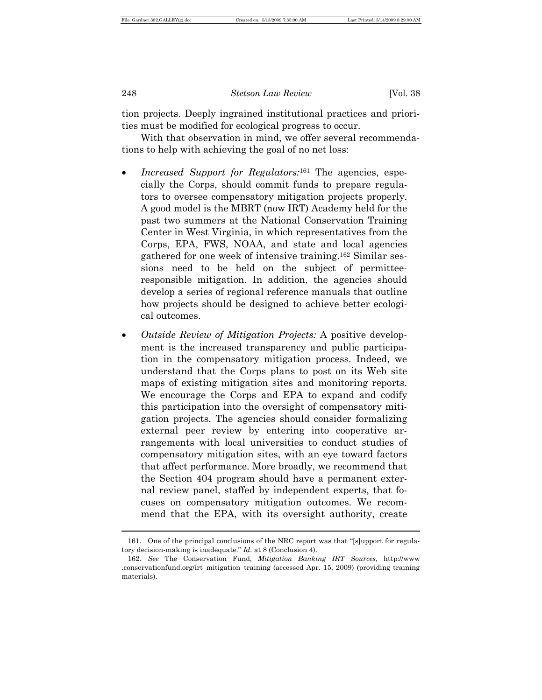tion projects. Deeply ingrained institutional practices and priorities must be modified for ecological progress to occur.

With that observation in mind, we offer several recommendations to help with achieving the goal of no net loss:

- *Increased Support for Regulators:*<sup>161</sup> The agencies, especially the Corps, should commit funds to prepare regulators to oversee compensatory mitigation projects properly. A good model is the MBRT (now IRT) Academy held for the past two summers at the National Conservation Training Center in West Virginia, in which representatives from the Corps, EPA, FWS, NOAA, and state and local agencies gathered for one week of intensive training.162 Similar sessions need to be held on the subject of permitteeresponsible mitigation. In addition, the agencies should develop a series of regional reference manuals that outline how projects should be designed to achieve better ecological outcomes.
- *Outside Review of Mitigation Projects:* A positive development is the increased transparency and public participation in the compensatory mitigation process. Indeed, we understand that the Corps plans to post on its Web site maps of existing mitigation sites and monitoring reports. We encourage the Corps and EPA to expand and codify this participation into the oversight of compensatory mitigation projects. The agencies should consider formalizing external peer review by entering into cooperative arrangements with local universities to conduct studies of compensatory mitigation sites, with an eye toward factors that affect performance. More broadly, we recommend that the Section 404 program should have a permanent external review panel, staffed by independent experts, that focuses on compensatory mitigation outcomes. We recommend that the EPA, with its oversight authority, create

<sup>161.</sup> One of the principal conclusions of the NRC report was that "[s]upport for regulatory decision-making is inadequate." *Id.* at 8 (Conclusion 4).

<sup>162.</sup> *See* The Conservation Fund, *Mitigation Banking IRT Sources*, http://www .conservationfund.org/irt\_mitigation\_training (accessed Apr. 15, 2009) (providing training materials).